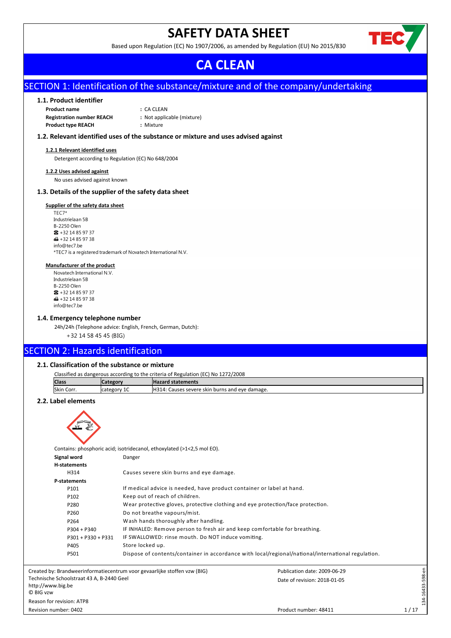## **SAFETY DATA SHEET**

Based upon Regulation (EC) No 1907/2006, as amended by Regulation (EU) No 2015/830



## **CA CLEAN**

## SECTION 1: Identification of the substance/mixture and of the company/undertaking

## **1.1. Product identifier**

| <b>Product name</b>              | : CA CLEAN                 |
|----------------------------------|----------------------------|
| <b>Registration number REACH</b> | : Not applicable (mixture) |
| <b>Product type REACH</b>        | : Mixture                  |

## **1.2. Relevant identified uses of the substance or mixture and uses advised against**

#### **1.2.1 Relevant identified uses**

Detergent according to Regulation (EC) No 648/2004

#### **1.2.2 Uses advised against**

No uses advised against known

## **1.3. Details of the supplier of the safety data sheet**

#### **Supplier of the safety data sheet**

TEC7\* Industrielaan 5B B-2250 Olen  $\bullet$  +32 14 85 97 37  $\bigoplus$  +32 14 85 97 38 info@tec7.be \*TEC7 is a registered trademark of Novatech International N.V.

## **Manufacturer of the product**

Novatech International N V Industrielaan 5B B-2250 Olen  $\bullet$  +32 14 85 97 37  $\bigoplus$  +32 14 85 97 38 info@tec7.be

## **1.4. Emergency telephone number**

24h/24h (Telephone advice: English, French, German, Dutch): +32 14 58 45 45 (BIG)

## SECTION 2: Hazards identification

## **2.1. Classification of the substance or mixture**

| Classified as dangerous according to the criteria of Regulation (EC) No 1272/2008 |             |                                                |  |
|-----------------------------------------------------------------------------------|-------------|------------------------------------------------|--|
| <b>Class</b><br><b>Hazard statements</b><br><b>ICategory</b>                      |             |                                                |  |
| Skin Corr.                                                                        | category 1C | H314: Causes severe skin burns and eye damage. |  |

## **2.2. Label elements**



Contains: phosphoric acid; isotridecanol, ethoxylated (>1<2,5 mol EO).

| Signal word                                                                 | Danger                                                                          |                                                                                                    |                  |
|-----------------------------------------------------------------------------|---------------------------------------------------------------------------------|----------------------------------------------------------------------------------------------------|------------------|
| <b>H-statements</b>                                                         |                                                                                 |                                                                                                    |                  |
| H314                                                                        | Causes severe skin burns and eye damage.                                        |                                                                                                    |                  |
| P-statements                                                                |                                                                                 |                                                                                                    |                  |
| P101                                                                        | If medical advice is needed, have product container or label at hand.           |                                                                                                    |                  |
| P102                                                                        | Keep out of reach of children.                                                  |                                                                                                    |                  |
| P280                                                                        | Wear protective gloves, protective clothing and eye protection/face protection. |                                                                                                    |                  |
| P260                                                                        | Do not breathe vapours/mist.                                                    |                                                                                                    |                  |
| P264                                                                        | Wash hands thoroughly after handling.                                           |                                                                                                    |                  |
| $P304 + P340$                                                               | IF INHALED: Remove person to fresh air and keep comfortable for breathing.      |                                                                                                    |                  |
| $P301 + P330 + P331$                                                        | IF SWALLOWED: rinse mouth. Do NOT induce vomiting.                              |                                                                                                    |                  |
| P405                                                                        | Store locked up.                                                                |                                                                                                    |                  |
| P501                                                                        |                                                                                 | Dispose of contents/container in accordance with local/regional/national/international regulation. |                  |
|                                                                             | Created by: Brandweerinformatiecentrum voor gevaarlijke stoffen vzw (BIG)       | Publication date: 2009-06-29                                                                       |                  |
| Technische Schoolstraat 43 A, B-2440 Geel<br>http://www.big.be<br>© BIG vzw |                                                                                 | Date of revision: 2018-01-05                                                                       | 134-16433-598-en |
| Reason for revision: ATP8                                                   |                                                                                 |                                                                                                    |                  |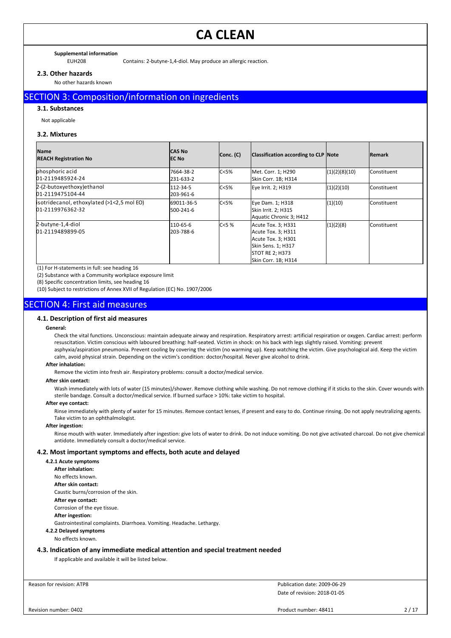#### **Supplemental information**

EUH208 Contains: 2-butyne-1,4-diol. May produce an allergic reaction.

## **2.3. Other hazards**

No other hazards known

## SECTION 3: Composition/information on ingredients

#### **3.1. Substances**

Not applicable

## **3.2. Mixtures**

| <b>Name</b><br><b>REACH Registration No</b>                    | <b>CAS No</b><br>IEC No | Conc. (C) | Classification according to CLP Note                                                                                                  |               | <b>IRemark</b>       |
|----------------------------------------------------------------|-------------------------|-----------|---------------------------------------------------------------------------------------------------------------------------------------|---------------|----------------------|
| phosphoric acid<br>01-2119485924-24                            | 7664-38-2<br>231-633-2  | C<5%      | Met. Corr. 1; H290<br>Skin Corr. 1B; H314                                                                                             | (1)(2)(8)(10) | <b>I</b> Constituent |
| 2-(2-butoxyethoxy) ethanol<br>01-2119475104-44                 | 112-34-5<br>203-961-6   | C<5%      | Eye Irrit. 2; H319                                                                                                                    | (1)(2)(10)    | <b>Constituent</b>   |
| isotridecanol, ethoxylated (>1<2,5 mol EO)<br>01-2119976362-32 | 69011-36-5<br>500-241-6 | C < 5%    | Eye Dam. 1; H318<br>Skin Irrit. 2; H315<br>Aquatic Chronic 3; H412                                                                    | (1)(10)       | <b>I</b> Constituent |
| 2-butyne-1,4-diol<br>01-2119489899-05                          | 110-65-6<br>203-788-6   | C < 5%    | Acute Tox. 3; H331<br>Acute Tox. 3; H311<br>Acute Tox. 3; H301<br>Skin Sens. 1; H317<br><b>STOT RE 2; H373</b><br>Skin Corr. 1B; H314 | (1)(2)(8)     | <b>I</b> Constituent |

(1) For H-statements in full: see heading 16

(2) Substance with a Community workplace exposure limit

(8) Specific concentration limits, see heading 16

(10) Subject to restrictions of Annex XVII of Regulation (EC) No. 1907/2006

## SECTION 4: First aid measures

## **4.1. Description of first aid measures**

#### **General:**

Check the vital functions. Unconscious: maintain adequate airway and respiration. Respiratory arrest: artificial respiration or oxygen. Cardiac arrest: perform resuscitation. Victim conscious with laboured breathing: half-seated. Victim in shock: on his back with legs slightly raised. Vomiting: prevent asphyxia/aspiration pneumonia. Prevent cooling by covering the victim (no warming up). Keep watching the victim. Give psychological aid. Keep the victim calm, avoid physical strain. Depending on the victim's condition: doctor/hospital. Never give alcohol to drink.

### **After inhalation:**

Remove the victim into fresh air. Respiratory problems: consult a doctor/medical service.

#### **After skin contact:**

Wash immediately with lots of water (15 minutes)/shower. Remove clothing while washing. Do not remove clothing if it sticks to the skin. Cover wounds with sterile bandage. Consult a doctor/medical service. If burned surface > 10%: take victim to hospital.

#### **After eye contact:**

Rinse immediately with plenty of water for 15 minutes. Remove contact lenses, if present and easy to do. Continue rinsing. Do not apply neutralizing agents. Take victim to an ophthalmologist.

### **After ingestion:**

Rinse mouth with water. Immediately after ingestion: give lots of water to drink. Do not induce vomiting. Do not give activated charcoal. Do not give chemical antidote. Immediately consult a doctor/medical service.

#### **4.2. Most important symptoms and effects, both acute and delayed**

**4.2.1 Acute symptoms After inhalation:** No effects known. **After skin contact:** Caustic burns/corrosion of the skin. **After eye contact:** Corrosion of the eye tissue. **After ingestion:** Gastrointestinal complaints. Diarrhoea. Vomiting. Headache. Lethargy. **4.2.2 Delayed symptoms**

#### No effects known.

## **4.3. Indication of any immediate medical attention and special treatment needed**

If applicable and available it will be listed below.

Reason for revision: ATP8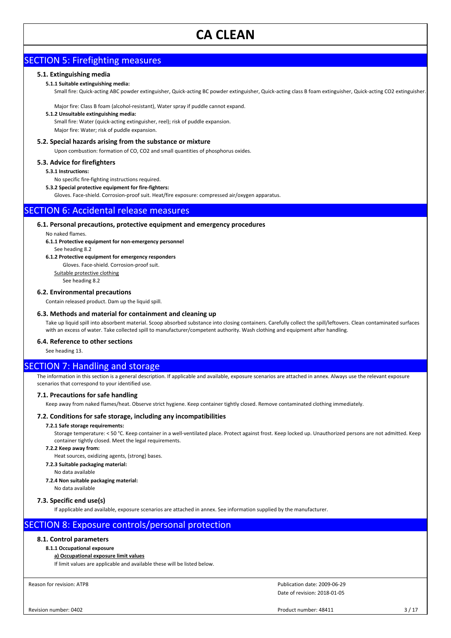## SECTION 5: Firefighting measures

## **5.1. Extinguishing media**

## **5.1.1 Suitable extinguishing media:**

Small fire: Quick-acting ABC powder extinguisher, Quick-acting BC powder extinguisher, Quick-acting class B foam extinguisher, Quick-acting CO2 extinguisher.

Major fire: Class B foam (alcohol-resistant), Water spray if puddle cannot expand.

#### **5.1.2 Unsuitable extinguishing media:**

Small fire: Water (quick-acting extinguisher, reel); risk of puddle expansion. Major fire: Water; risk of puddle expansion.

## **5.2. Special hazards arising from the substance or mixture**

Upon combustion: formation of CO, CO2 and small quantities of phosphorus oxides.

### **5.3. Advice for firefighters**

### **5.3.1 Instructions:**

No specific fire-fighting instructions required.

**5.3.2 Special protective equipment for fire-fighters:**

Gloves. Face-shield. Corrosion-proof suit. Heat/fire exposure: compressed air/oxygen apparatus.

## SECTION 6: Accidental release measures

### **6.1. Personal precautions, protective equipment and emergency procedures**

No naked flames.

- **6.1.1 Protective equipment for non-emergency personnel**
- See heading 8.2

### **6.1.2 Protective equipment for emergency responders**

Gloves. Face-shield. Corrosion-proof suit.

Suitable protective clothing

See heading 8.2

#### **6.2. Environmental precautions**

Contain released product. Dam up the liquid spill.

### **6.3. Methods and material for containment and cleaning up**

Take up liquid spill into absorbent material. Scoop absorbed substance into closing containers. Carefully collect the spill/leftovers. Clean contaminated surfaces with an excess of water. Take collected spill to manufacturer/competent authority. Wash clothing and equipment after handling.

### **6.4. Reference to other sections**

See heading 13.

## SECTION 7: Handling and storage

The information in this section is a general description. If applicable and available, exposure scenarios are attached in annex. Always use the relevant exposure scenarios that correspond to your identified use.

### **7.1. Precautions for safe handling**

Keep away from naked flames/heat. Observe strict hygiene. Keep container tightly closed. Remove contaminated clothing immediately.

### **7.2. Conditions for safe storage, including any incompatibilities**

## **7.2.1 Safe storage requirements:**

Storage temperature: < 50 °C. Keep container in a well-ventilated place. Protect against frost. Keep locked up. Unauthorized persons are not admitted. Keep container tightly closed. Meet the legal requirements.

#### **7.2.2 Keep away from:**

Heat sources, oxidizing agents, (strong) bases.

**7.2.3 Suitable packaging material:**

No data available

#### **7.2.4 Non suitable packaging material:**

No data available

### **7.3. Specific end use(s)**

If applicable and available, exposure scenarios are attached in annex. See information supplied by the manufacturer.

## SECTION 8: Exposure controls/personal protection

## **8.1. Control parameters**

### **8.1.1 Occupational exposure**

**a) Occupational exposure limit values**

If limit values are applicable and available these will be listed below.

Reason for revision: ATP8

Date of revision: 2018-01-05 Publication date: 2009-06-29

Product number: 48411 3/17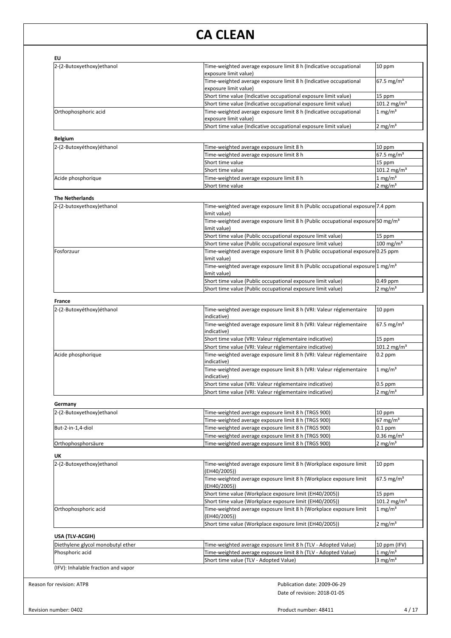| exposure limit value)                                                              |                                                                                                                                                                                                                                                                                                                                                                                                                                                                                                                                                                                                                                                                                                                                                                                                                                                                                                                                                                                                                                                                                                                                                                                                                                                                                                                                                                                                                                                                                                                                                                                                                                                                                                         |
|------------------------------------------------------------------------------------|---------------------------------------------------------------------------------------------------------------------------------------------------------------------------------------------------------------------------------------------------------------------------------------------------------------------------------------------------------------------------------------------------------------------------------------------------------------------------------------------------------------------------------------------------------------------------------------------------------------------------------------------------------------------------------------------------------------------------------------------------------------------------------------------------------------------------------------------------------------------------------------------------------------------------------------------------------------------------------------------------------------------------------------------------------------------------------------------------------------------------------------------------------------------------------------------------------------------------------------------------------------------------------------------------------------------------------------------------------------------------------------------------------------------------------------------------------------------------------------------------------------------------------------------------------------------------------------------------------------------------------------------------------------------------------------------------------|
| Time-weighted average exposure limit 8 h (Indicative occupational                  | $67.5 \text{ mg/m}^3$                                                                                                                                                                                                                                                                                                                                                                                                                                                                                                                                                                                                                                                                                                                                                                                                                                                                                                                                                                                                                                                                                                                                                                                                                                                                                                                                                                                                                                                                                                                                                                                                                                                                                   |
|                                                                                    | 15 ppm                                                                                                                                                                                                                                                                                                                                                                                                                                                                                                                                                                                                                                                                                                                                                                                                                                                                                                                                                                                                                                                                                                                                                                                                                                                                                                                                                                                                                                                                                                                                                                                                                                                                                                  |
|                                                                                    | 101.2 mg/m <sup>3</sup>                                                                                                                                                                                                                                                                                                                                                                                                                                                                                                                                                                                                                                                                                                                                                                                                                                                                                                                                                                                                                                                                                                                                                                                                                                                                                                                                                                                                                                                                                                                                                                                                                                                                                 |
| Time-weighted average exposure limit 8 h (Indicative occupational                  | $1$ mg/m <sup>3</sup>                                                                                                                                                                                                                                                                                                                                                                                                                                                                                                                                                                                                                                                                                                                                                                                                                                                                                                                                                                                                                                                                                                                                                                                                                                                                                                                                                                                                                                                                                                                                                                                                                                                                                   |
| Short time value (Indicative occupational exposure limit value)                    | $2$ mg/m <sup>3</sup>                                                                                                                                                                                                                                                                                                                                                                                                                                                                                                                                                                                                                                                                                                                                                                                                                                                                                                                                                                                                                                                                                                                                                                                                                                                                                                                                                                                                                                                                                                                                                                                                                                                                                   |
|                                                                                    |                                                                                                                                                                                                                                                                                                                                                                                                                                                                                                                                                                                                                                                                                                                                                                                                                                                                                                                                                                                                                                                                                                                                                                                                                                                                                                                                                                                                                                                                                                                                                                                                                                                                                                         |
|                                                                                    | 10 ppm                                                                                                                                                                                                                                                                                                                                                                                                                                                                                                                                                                                                                                                                                                                                                                                                                                                                                                                                                                                                                                                                                                                                                                                                                                                                                                                                                                                                                                                                                                                                                                                                                                                                                                  |
| Time-weighted average exposure limit 8 h                                           | $67.5 \text{ mg/m}^3$                                                                                                                                                                                                                                                                                                                                                                                                                                                                                                                                                                                                                                                                                                                                                                                                                                                                                                                                                                                                                                                                                                                                                                                                                                                                                                                                                                                                                                                                                                                                                                                                                                                                                   |
| Short time value                                                                   | 15 ppm                                                                                                                                                                                                                                                                                                                                                                                                                                                                                                                                                                                                                                                                                                                                                                                                                                                                                                                                                                                                                                                                                                                                                                                                                                                                                                                                                                                                                                                                                                                                                                                                                                                                                                  |
| Short time value                                                                   | $101.2 \text{ mg/m}^3$                                                                                                                                                                                                                                                                                                                                                                                                                                                                                                                                                                                                                                                                                                                                                                                                                                                                                                                                                                                                                                                                                                                                                                                                                                                                                                                                                                                                                                                                                                                                                                                                                                                                                  |
| Time-weighted average exposure limit 8 h                                           | 1 mg/m <sup>3</sup>                                                                                                                                                                                                                                                                                                                                                                                                                                                                                                                                                                                                                                                                                                                                                                                                                                                                                                                                                                                                                                                                                                                                                                                                                                                                                                                                                                                                                                                                                                                                                                                                                                                                                     |
| Short time value                                                                   | $2 \text{ mg/m}^3$                                                                                                                                                                                                                                                                                                                                                                                                                                                                                                                                                                                                                                                                                                                                                                                                                                                                                                                                                                                                                                                                                                                                                                                                                                                                                                                                                                                                                                                                                                                                                                                                                                                                                      |
|                                                                                    |                                                                                                                                                                                                                                                                                                                                                                                                                                                                                                                                                                                                                                                                                                                                                                                                                                                                                                                                                                                                                                                                                                                                                                                                                                                                                                                                                                                                                                                                                                                                                                                                                                                                                                         |
| limit value)                                                                       |                                                                                                                                                                                                                                                                                                                                                                                                                                                                                                                                                                                                                                                                                                                                                                                                                                                                                                                                                                                                                                                                                                                                                                                                                                                                                                                                                                                                                                                                                                                                                                                                                                                                                                         |
| limit value)                                                                       |                                                                                                                                                                                                                                                                                                                                                                                                                                                                                                                                                                                                                                                                                                                                                                                                                                                                                                                                                                                                                                                                                                                                                                                                                                                                                                                                                                                                                                                                                                                                                                                                                                                                                                         |
| Short time value (Public occupational exposure limit value)                        | 15 ppm                                                                                                                                                                                                                                                                                                                                                                                                                                                                                                                                                                                                                                                                                                                                                                                                                                                                                                                                                                                                                                                                                                                                                                                                                                                                                                                                                                                                                                                                                                                                                                                                                                                                                                  |
| Short time value (Public occupational exposure limit value)                        | 100 mg/m <sup>3</sup>                                                                                                                                                                                                                                                                                                                                                                                                                                                                                                                                                                                                                                                                                                                                                                                                                                                                                                                                                                                                                                                                                                                                                                                                                                                                                                                                                                                                                                                                                                                                                                                                                                                                                   |
| limit value)                                                                       |                                                                                                                                                                                                                                                                                                                                                                                                                                                                                                                                                                                                                                                                                                                                                                                                                                                                                                                                                                                                                                                                                                                                                                                                                                                                                                                                                                                                                                                                                                                                                                                                                                                                                                         |
| limit value)                                                                       |                                                                                                                                                                                                                                                                                                                                                                                                                                                                                                                                                                                                                                                                                                                                                                                                                                                                                                                                                                                                                                                                                                                                                                                                                                                                                                                                                                                                                                                                                                                                                                                                                                                                                                         |
| Short time value (Public occupational exposure limit value)                        | 0.49 ppm                                                                                                                                                                                                                                                                                                                                                                                                                                                                                                                                                                                                                                                                                                                                                                                                                                                                                                                                                                                                                                                                                                                                                                                                                                                                                                                                                                                                                                                                                                                                                                                                                                                                                                |
| Short time value (Public occupational exposure limit value)                        | $2 \text{ mg/m}^3$                                                                                                                                                                                                                                                                                                                                                                                                                                                                                                                                                                                                                                                                                                                                                                                                                                                                                                                                                                                                                                                                                                                                                                                                                                                                                                                                                                                                                                                                                                                                                                                                                                                                                      |
|                                                                                    |                                                                                                                                                                                                                                                                                                                                                                                                                                                                                                                                                                                                                                                                                                                                                                                                                                                                                                                                                                                                                                                                                                                                                                                                                                                                                                                                                                                                                                                                                                                                                                                                                                                                                                         |
| indicative)                                                                        | 10 ppm                                                                                                                                                                                                                                                                                                                                                                                                                                                                                                                                                                                                                                                                                                                                                                                                                                                                                                                                                                                                                                                                                                                                                                                                                                                                                                                                                                                                                                                                                                                                                                                                                                                                                                  |
| Time-weighted average exposure limit 8 h (VRI: Valeur réglementaire<br>(indicative | $67.5 \,\mathrm{mg/m^3}$                                                                                                                                                                                                                                                                                                                                                                                                                                                                                                                                                                                                                                                                                                                                                                                                                                                                                                                                                                                                                                                                                                                                                                                                                                                                                                                                                                                                                                                                                                                                                                                                                                                                                |
| Short time value (VRI: Valeur réglementaire indicative)                            | 15 ppm                                                                                                                                                                                                                                                                                                                                                                                                                                                                                                                                                                                                                                                                                                                                                                                                                                                                                                                                                                                                                                                                                                                                                                                                                                                                                                                                                                                                                                                                                                                                                                                                                                                                                                  |
| Short time value (VRI: Valeur réglementaire indicative)                            | $101.2 \text{ mg/m}^3$                                                                                                                                                                                                                                                                                                                                                                                                                                                                                                                                                                                                                                                                                                                                                                                                                                                                                                                                                                                                                                                                                                                                                                                                                                                                                                                                                                                                                                                                                                                                                                                                                                                                                  |
| indicative)                                                                        | $0.2$ ppm                                                                                                                                                                                                                                                                                                                                                                                                                                                                                                                                                                                                                                                                                                                                                                                                                                                                                                                                                                                                                                                                                                                                                                                                                                                                                                                                                                                                                                                                                                                                                                                                                                                                                               |
| indicative)                                                                        | 1 mg/m <sup>3</sup>                                                                                                                                                                                                                                                                                                                                                                                                                                                                                                                                                                                                                                                                                                                                                                                                                                                                                                                                                                                                                                                                                                                                                                                                                                                                                                                                                                                                                                                                                                                                                                                                                                                                                     |
| Short time value (VRI: Valeur réglementaire indicative)                            | $0.5$ ppm                                                                                                                                                                                                                                                                                                                                                                                                                                                                                                                                                                                                                                                                                                                                                                                                                                                                                                                                                                                                                                                                                                                                                                                                                                                                                                                                                                                                                                                                                                                                                                                                                                                                                               |
|                                                                                    | $2 \text{ mg/m}^3$                                                                                                                                                                                                                                                                                                                                                                                                                                                                                                                                                                                                                                                                                                                                                                                                                                                                                                                                                                                                                                                                                                                                                                                                                                                                                                                                                                                                                                                                                                                                                                                                                                                                                      |
|                                                                                    |                                                                                                                                                                                                                                                                                                                                                                                                                                                                                                                                                                                                                                                                                                                                                                                                                                                                                                                                                                                                                                                                                                                                                                                                                                                                                                                                                                                                                                                                                                                                                                                                                                                                                                         |
| Time-weighted average exposure limit 8 h (TRGS 900)                                | 10 ppm                                                                                                                                                                                                                                                                                                                                                                                                                                                                                                                                                                                                                                                                                                                                                                                                                                                                                                                                                                                                                                                                                                                                                                                                                                                                                                                                                                                                                                                                                                                                                                                                                                                                                                  |
|                                                                                    | $67 \text{ mg/m}^3$                                                                                                                                                                                                                                                                                                                                                                                                                                                                                                                                                                                                                                                                                                                                                                                                                                                                                                                                                                                                                                                                                                                                                                                                                                                                                                                                                                                                                                                                                                                                                                                                                                                                                     |
|                                                                                    | $0.1$ ppm<br>$0.36$ mg/m <sup>3</sup>                                                                                                                                                                                                                                                                                                                                                                                                                                                                                                                                                                                                                                                                                                                                                                                                                                                                                                                                                                                                                                                                                                                                                                                                                                                                                                                                                                                                                                                                                                                                                                                                                                                                   |
|                                                                                    | $2 \text{ mg/m}^3$                                                                                                                                                                                                                                                                                                                                                                                                                                                                                                                                                                                                                                                                                                                                                                                                                                                                                                                                                                                                                                                                                                                                                                                                                                                                                                                                                                                                                                                                                                                                                                                                                                                                                      |
|                                                                                    |                                                                                                                                                                                                                                                                                                                                                                                                                                                                                                                                                                                                                                                                                                                                                                                                                                                                                                                                                                                                                                                                                                                                                                                                                                                                                                                                                                                                                                                                                                                                                                                                                                                                                                         |
|                                                                                    | 10 ppm                                                                                                                                                                                                                                                                                                                                                                                                                                                                                                                                                                                                                                                                                                                                                                                                                                                                                                                                                                                                                                                                                                                                                                                                                                                                                                                                                                                                                                                                                                                                                                                                                                                                                                  |
| (EH40/2005))                                                                       |                                                                                                                                                                                                                                                                                                                                                                                                                                                                                                                                                                                                                                                                                                                                                                                                                                                                                                                                                                                                                                                                                                                                                                                                                                                                                                                                                                                                                                                                                                                                                                                                                                                                                                         |
| (EH40/2005))                                                                       | 67.5 mg/m <sup>3</sup>                                                                                                                                                                                                                                                                                                                                                                                                                                                                                                                                                                                                                                                                                                                                                                                                                                                                                                                                                                                                                                                                                                                                                                                                                                                                                                                                                                                                                                                                                                                                                                                                                                                                                  |
|                                                                                    | 15 ppm                                                                                                                                                                                                                                                                                                                                                                                                                                                                                                                                                                                                                                                                                                                                                                                                                                                                                                                                                                                                                                                                                                                                                                                                                                                                                                                                                                                                                                                                                                                                                                                                                                                                                                  |
|                                                                                    | 101.2 mg/m <sup>3</sup><br>$1$ mg/m <sup>3</sup>                                                                                                                                                                                                                                                                                                                                                                                                                                                                                                                                                                                                                                                                                                                                                                                                                                                                                                                                                                                                                                                                                                                                                                                                                                                                                                                                                                                                                                                                                                                                                                                                                                                        |
| (EH40/2005))                                                                       |                                                                                                                                                                                                                                                                                                                                                                                                                                                                                                                                                                                                                                                                                                                                                                                                                                                                                                                                                                                                                                                                                                                                                                                                                                                                                                                                                                                                                                                                                                                                                                                                                                                                                                         |
|                                                                                    | $2 \text{ mg/m}^3$                                                                                                                                                                                                                                                                                                                                                                                                                                                                                                                                                                                                                                                                                                                                                                                                                                                                                                                                                                                                                                                                                                                                                                                                                                                                                                                                                                                                                                                                                                                                                                                                                                                                                      |
|                                                                                    |                                                                                                                                                                                                                                                                                                                                                                                                                                                                                                                                                                                                                                                                                                                                                                                                                                                                                                                                                                                                                                                                                                                                                                                                                                                                                                                                                                                                                                                                                                                                                                                                                                                                                                         |
|                                                                                    | 10 ppm (IFV)                                                                                                                                                                                                                                                                                                                                                                                                                                                                                                                                                                                                                                                                                                                                                                                                                                                                                                                                                                                                                                                                                                                                                                                                                                                                                                                                                                                                                                                                                                                                                                                                                                                                                            |
|                                                                                    | $1$ mg/m <sup>3</sup>                                                                                                                                                                                                                                                                                                                                                                                                                                                                                                                                                                                                                                                                                                                                                                                                                                                                                                                                                                                                                                                                                                                                                                                                                                                                                                                                                                                                                                                                                                                                                                                                                                                                                   |
|                                                                                    | 3 mg/m <sup>3</sup>                                                                                                                                                                                                                                                                                                                                                                                                                                                                                                                                                                                                                                                                                                                                                                                                                                                                                                                                                                                                                                                                                                                                                                                                                                                                                                                                                                                                                                                                                                                                                                                                                                                                                     |
|                                                                                    |                                                                                                                                                                                                                                                                                                                                                                                                                                                                                                                                                                                                                                                                                                                                                                                                                                                                                                                                                                                                                                                                                                                                                                                                                                                                                                                                                                                                                                                                                                                                                                                                                                                                                                         |
|                                                                                    | exposure limit value)<br>Short time value (Indicative occupational exposure limit value)<br>Short time value (Indicative occupational exposure limit value)<br>exposure limit value)<br>Time-weighted average exposure limit 8 h<br>Time-weighted average exposure limit 8 h (Public occupational exposure 7.4 ppm<br>Time-weighted average exposure limit 8 h (Public occupational exposure 50 mg/m <sup>3</sup><br>Time-weighted average exposure limit 8 h (Public occupational exposure 0.25 ppm<br>Time-weighted average exposure limit 8 h (Public occupational exposure $\vert$ 1 mg/m <sup>3</sup><br>Time-weighted average exposure limit 8 h (VRI: Valeur réglementaire<br>Time-weighted average exposure limit 8 h (VRI: Valeur réglementaire<br>Time-weighted average exposure limit 8 h (VRI: Valeur réglementaire<br>Short time value (VRI: Valeur réglementaire indicative)<br>Time-weighted average exposure limit 8 h (TRGS 900)<br>Time-weighted average exposure limit 8 h (TRGS 900)<br>Time-weighted average exposure limit 8 h (TRGS 900)<br>Time-weighted average exposure limit 8 h (TRGS 900)<br>Time-weighted average exposure limit 8 h (Workplace exposure limit<br>Time-weighted average exposure limit 8 h (Workplace exposure limit<br>Short time value (Workplace exposure limit (EH40/2005))<br>Short time value (Workplace exposure limit (EH40/2005))<br>Time-weighted average exposure limit 8 h (Workplace exposure limit<br>Short time value (Workplace exposure limit (EH40/2005))<br>Time-weighted average exposure limit 8 h (TLV - Adopted Value)<br>Time-weighted average exposure limit 8 h (TLV - Adopted Value)<br>Short time value (TLV - Adopted Value) |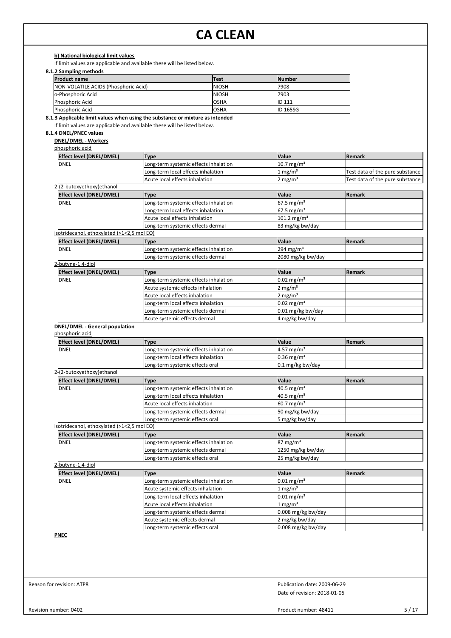**b) National biological limit values**

If limit values are applicable and available these will be listed below.

## **8.1.2 Sampling methods**

| <b>Product name</b>                  | lTest         | <b>INumber</b>  |
|--------------------------------------|---------------|-----------------|
| NON-VOLATILE ACIDS (Phosphoric Acid) | <b>INIOSH</b> | 17908           |
| lo-Phosphoric Acid                   | <b>INIOSH</b> | 7903            |
| Phosphoric Acid                      | losha         | <b>IID 111</b>  |
| <b>Phosphoric Acid</b>               | losha         | <b>ID 165SG</b> |

**8.1.3 Applicable limit values when using the substance or mixture as intended**

If limit values are applicable and available these will be listed below.

## **8.1.4 DNEL/PNEC values**

**DNEL/DMEL - Workers**

| phosphoric acid |  |  |  |
|-----------------|--|--|--|
|-----------------|--|--|--|

| <b>Effect level (DNEL/DMEL)</b> | <b>Type</b>                           | <b>Value</b>             | <b>IRemark</b>                  |
|---------------------------------|---------------------------------------|--------------------------|---------------------------------|
| <b>DNEL</b>                     | Long-term systemic effects inhalation | $10.7 \,\mathrm{mg/m^3}$ |                                 |
|                                 | Long-term local effects inhalation    | 1 mg/m <sup>3</sup>      | Test data of the pure substance |
|                                 | Acute local effects inhalation        | $12 \text{ mg/m}^3$      | Test data of the pure substance |
| 2-(2-butoxyethoxy)ethanol       |                                       |                          |                                 |

| <b>Effect level (DNEL/DMEL)</b>            | <b>Type</b>                           | <b>Value</b>             | <b>Remark</b>  |  |
|--------------------------------------------|---------------------------------------|--------------------------|----------------|--|
| <b>DNEL</b>                                | Long-term systemic effects inhalation | $67.5 \,\mathrm{mg/m^3}$ |                |  |
|                                            | Long-term local effects inhalation    | $67.5 \text{ mg/m}^3$    |                |  |
|                                            | Acute local effects inhalation        | $101.2 \text{ mg/m}^3$   |                |  |
|                                            | Long-term systemic effects dermal     | 83 mg/kg bw/day          |                |  |
| isotridecanol, ethoxylated (>1<2,5 mol EO) |                                       |                          |                |  |
| <b>Effect level (DNEL/DMEL)</b>            | Type                                  | <b>Value</b>             | <b>IRemark</b> |  |
| <b>DNEL</b>                                | Long-term systemic effects inhalation | $294 \text{ mg/m}^3$     |                |  |
|                                            | Long-term systemic effects dermal     | 2080 mg/kg bw/day        |                |  |
| 2-butyne-1,4-diol                          |                                       |                          |                |  |
| <b>Effect level (DNEL/DMEL)</b>            | <b>Type</b>                           | <b>Value</b>             | <b>Remark</b>  |  |
| <b>DNEL</b>                                | Long-term systemic effects inhalation | $0.02 \,\mathrm{mg/m^3}$ |                |  |
|                                            | Acute systemic effects inhalation     | $2 \text{ mg/m}^3$       |                |  |
|                                            | Acute local effects inhalation        | $2 \text{ mg/m}^3$       |                |  |

Long-term local effects inhalation  $0.02 \text{ mg/m}^3$ Long-term systemic effects dermal 0.01 mg/kg bw/day Acute systemic effects dermal 4 mg/kg bw/day

## **DNEL/DMEL - General population**

phosphoric acid

| <b>Effect level (DNEL/DMEL)</b>            | <b>Type</b>                           | Value                    | <b>Remark</b> |
|--------------------------------------------|---------------------------------------|--------------------------|---------------|
| <b>DNEL</b>                                | Long-term systemic effects inhalation | $4.57 \text{ mg/m}^3$    |               |
|                                            | Long-term local effects inhalation    | $0.36$ mg/m <sup>3</sup> |               |
|                                            | Long-term systemic effects oral       | $0.1$ mg/kg bw/day       |               |
| 2-(2-butoxyethoxy)ethanol                  |                                       |                          |               |
| <b>Effect level (DNEL/DMEL)</b>            | Type                                  | Value                    | <b>Remark</b> |
| IDNEL                                      | Long-term systemic effects inhalation | $40.5 \text{ mg/m}^3$    |               |
|                                            | Long-term local effects inhalation    | 40.5 mg/m <sup>3</sup>   |               |
|                                            | Acute local effects inhalation        | $60.7$ mg/m <sup>3</sup> |               |
|                                            | Long-term systemic effects dermal     | 50 mg/kg bw/day          |               |
|                                            | Long-term systemic effects oral       | 5 mg/kg bw/day           |               |
| isotridecanol, ethoxylated (>1<2,5 mol EO) |                                       |                          |               |
| <b>Effect level (DNEL/DMEL)</b>            | <b>Type</b>                           | Value                    | <b>Remark</b> |
| IDNEL                                      | Long-term systemic effects inhalation | $87 \text{ mg/m}^3$      |               |
|                                            | Long-term systemic effects dermal     | 1250 mg/kg bw/day        |               |
|                                            | Long-term systemic effects oral       | 25 mg/kg bw/day          |               |
| 2-butyne-1,4-diol                          |                                       |                          |               |

| <b>Effect level (DNEL/DMEL)</b> | <b>Type</b>                           | <b>Value</b>             | <b>Remark</b> |
|---------------------------------|---------------------------------------|--------------------------|---------------|
| <b>DNEL</b>                     | Long-term systemic effects inhalation | $0.01 \,\mathrm{mg/m^3}$ |               |
|                                 | Acute systemic effects inhalation     | $1 \text{ mg/m}^3$       |               |
|                                 | Long-term local effects inhalation    | $0.01 \,\mathrm{mg/m^3}$ |               |
|                                 | Acute local effects inhalation        | $1 \text{ mg/m}^3$       |               |
|                                 | Long-term systemic effects dermal     | $0.008$ mg/kg bw/day     |               |
|                                 | Acute systemic effects dermal         | 2 mg/kg bw/day           |               |
|                                 | Long-term systemic effects oral       | $0.008$ mg/kg bw/day     |               |

**PNEC**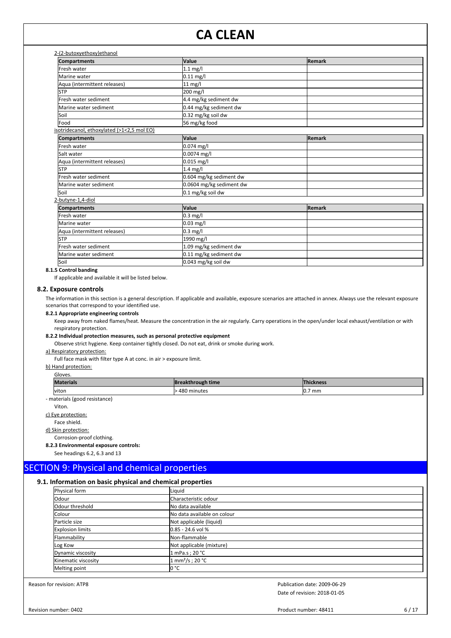| <b>Compartments</b>                        | Value                    | Remark        |  |
|--------------------------------------------|--------------------------|---------------|--|
| Fresh water                                | $1.1$ mg/l               |               |  |
| Marine water                               | $0.11$ mg/l              |               |  |
| Aqua (intermittent releases)               | 11 mg/l                  |               |  |
| <b>STP</b>                                 | 200 mg/l                 |               |  |
| Fresh water sediment                       | 4.4 mg/kg sediment dw    |               |  |
| Marine water sediment                      | 0.44 mg/kg sediment dw   |               |  |
| lSoil                                      | 0.32 mg/kg soil dw       |               |  |
| Food                                       | 56 mg/kg food            |               |  |
| isotridecanol, ethoxylated (>1<2,5 mol EO) |                          |               |  |
| <b>Compartments</b>                        | Value                    | Remark        |  |
| lFresh water                               | $0.074$ mg/l             |               |  |
| Salt water                                 | 0.0074 mg/l              |               |  |
| Aqua (intermittent releases)               | 0.015 mg/l               |               |  |
| lstp                                       | 1.4 mg/l                 |               |  |
| Fresh water sediment                       | 0.604 mg/kg sediment dw  |               |  |
| Marine water sediment                      | 0.0604 mg/kg sediment dw |               |  |
| lsoil                                      | 0.1 mg/kg soil dw        |               |  |
| 2-butyne-1,4-diol                          |                          |               |  |
| <b>Compartments</b>                        | Value                    | <b>Remark</b> |  |
| Fresh water                                | $0.3$ mg/l               |               |  |
| Marine water                               | 0.03 mg/l                |               |  |
| Aqua (intermittent releases)               | $0.3$ mg/l               |               |  |
| lstp                                       | 1990 mg/l                |               |  |
| Fresh water sediment                       | 1.09 mg/kg sediment dw   |               |  |
| Marine water sediment                      | 0.11 mg/kg sediment dw   |               |  |
| Soil                                       | 0.043 mg/kg soil dw      |               |  |

## **8.1.5 Control banding**

If applicable and available it will be listed below.

**8.2. Exposure controls**

The information in this section is a general description. If applicable and available, exposure scenarios are attached in annex. Always use the relevant exposure scenarios that correspond to your identified use.

## **8.2.1 Appropriate engineering controls**

Keep away from naked flames/heat. Measure the concentration in the air regularly. Carry operations in the open/under local exhaust/ventilation or with respiratory protection.

#### **8.2.2 Individual protection measures, such as personal protective equipment**

Observe strict hygiene. Keep container tightly closed. Do not eat, drink or smoke during work.

#### a) Respiratory protection:

Full face mask with filter type A at conc. in air > exposure limit.

b) Hand protection: Gloves.

| <b>Materials</b> | <b>IBreakthrough time</b> | Thickness   |  |
|------------------|---------------------------|-------------|--|
| viton            | 480 minutes               | 7 mm<br>IV. |  |

- materials (good resistance)

Viton.

c) Eye protection:

Face shield. d) Skin protection:

Corrosion-proof clothing.

## **8.2.3 Environmental exposure controls:**

See headings 6.2, 6.3 and 13

## SECTION 9: Physical and chemical properties

## **9.1. Information on basic physical and chemical properties**

| Physical form           | Liquid                       |  |  |  |  |  |
|-------------------------|------------------------------|--|--|--|--|--|
| Odour                   | Characteristic odour         |  |  |  |  |  |
| Odour threshold         | No data available            |  |  |  |  |  |
| Colour                  | No data available on colour  |  |  |  |  |  |
| Particle size           | Not applicable (liquid)      |  |  |  |  |  |
| <b>Explosion limits</b> | $0.85 - 24.6$ vol %          |  |  |  |  |  |
| Flammability            | Non-flammable                |  |  |  |  |  |
| Log Kow                 | Not applicable (mixture)     |  |  |  |  |  |
| Dynamic viscosity       | 1 mPa.s ; 20 °C              |  |  |  |  |  |
| Kinematic viscosity     | 1 mm <sup>2</sup> /s ; 20 °C |  |  |  |  |  |
| Melting point           | lo °C                        |  |  |  |  |  |

Reason for revision: ATP8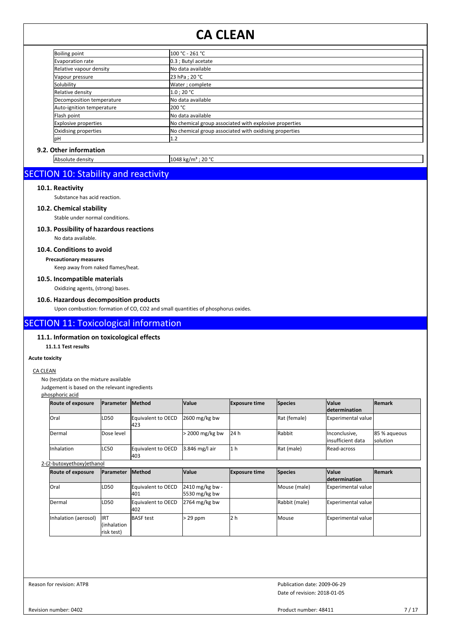| <b>Boiling point</b>        | 100 °C - 261 °C                                        |  |
|-----------------------------|--------------------------------------------------------|--|
| Evaporation rate            | $0.3$ ; Butyl acetate                                  |  |
| Relative vapour density     | No data available                                      |  |
| Vapour pressure             | 23 hPa ; 20 °C                                         |  |
| Solubility                  | Water ; complete                                       |  |
| Relative density            | 1.0:20 °C                                              |  |
| Decomposition temperature   | No data available                                      |  |
| Auto-ignition temperature   | 200 °C                                                 |  |
| Flash point                 | No data available                                      |  |
| <b>Explosive properties</b> | No chemical group associated with explosive properties |  |
| Oxidising properties        | No chemical group associated with oxidising properties |  |
| <b>l</b> pH                 | 1.2                                                    |  |

## **9.2. Other information**

Absolute density 1048 kg/m<sup>3</sup> ; 20 °C

## SECTION 10: Stability and reactivity

## **10.1. Reactivity**

Substance has acid reaction.

**10.2. Chemical stability**

Stable under normal conditions.

## **10.3. Possibility of hazardous reactions**

No data available.

## **10.4. Conditions to avoid**

**Precautionary measures**

Keep away from naked flames/heat.

## **10.5. Incompatible materials**

Oxidizing agents, (strong) bases.

## **10.6. Hazardous decomposition products**

Upon combustion: formation of CO, CO2 and small quantities of phosphorus oxides.

## SECTION 11: Toxicological information

## **11.1. Information on toxicological effects**

**11.1.1 Test results**

#### **Acute toxicity**

#### CA CLEAN

No (test)data on the mixture available

Judgement is based on the relevant ingredients

phosphoric acid

| <b>Route of exposure</b> | <b>IParameter</b> | <b>Method</b>             | <b>Value</b>      | <b>Exposure time</b> | Species       | <b>Value</b>                        | <b>IRemark</b>                  |
|--------------------------|-------------------|---------------------------|-------------------|----------------------|---------------|-------------------------------------|---------------------------------|
|                          |                   |                           |                   |                      |               | <b>determination</b>                |                                 |
| lOral                    | LD <sub>50</sub>  | Equivalent to OECD<br>423 | $2600$ mg/kg bw   |                      | Rat (female)  | Experimental value                  |                                 |
| <b>IDermal</b>           | Dose level        |                           | $>$ 2000 mg/kg bw | 24 h                 | <b>Rabbit</b> | Inconclusive,<br>linsufficient data | 85 % agueous<br><b>solution</b> |
| <b>Inhalation</b>        | LC50              | Equivalent to OECD<br>403 | 3.846 mg/l air    | 1 <sub>h</sub>       | Rat (male)    | <b>IRead-across</b>                 |                                 |

## 2-(2-butoxyethoxy)ethanol

| <b>Route of exposure</b> | <b>IParameter</b>                         | <b>Method</b>             | <b>Value</b>                       | <b>Exposure time</b> | Species        | <b>Value</b>          | <b>IRemark</b> |
|--------------------------|-------------------------------------------|---------------------------|------------------------------------|----------------------|----------------|-----------------------|----------------|
|                          |                                           |                           |                                    |                      |                | <b>Idetermination</b> |                |
| <b>IOral</b>             | LD50                                      | Equivalent to OECD<br>401 | $2410$ mg/kg bw -<br>5530 mg/kg bw |                      | Mouse (male)   | Experimental value    |                |
| Dermal                   | LD50                                      | Equivalent to OECD<br>402 | $2764$ mg/kg bw                    |                      | Rabbit (male)  | Experimental value    |                |
| Inhalation (aerosol)     | <b>IIRT</b><br>l(inhalation<br>risk test) | <b>BASF</b> test          | $> 29$ ppm                         | 2 h                  | <b>I</b> Mouse | Experimental value    |                |

Reason for revision: ATP8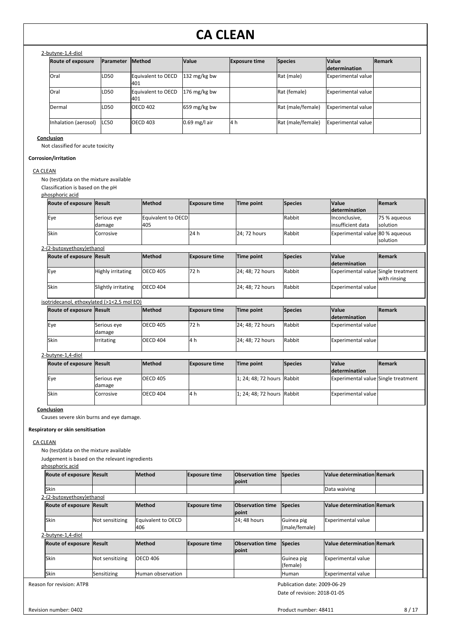| <b>Route of exposure</b> | <b>IParameter</b> | <b>Method</b>             | <b>Value</b>    | <b>Exposure time</b> | Species           | <b>Value</b><br><b>Idetermination</b> | <b>Remark</b> |
|--------------------------|-------------------|---------------------------|-----------------|----------------------|-------------------|---------------------------------------|---------------|
| <b>lOral</b>             | LD50              | Equivalent to OECD<br>401 | 132 mg/kg bw    |                      | Rat (male)        | Experimental value                    |               |
| <b>lOral</b>             | LD50              | Equivalent to OECD<br>401 | 176 mg/kg bw    |                      | Rat (female)      | Experimental value                    |               |
| Dermal                   | LD50              | <b>OECD 402</b>           | 659 mg/kg bw    |                      | Rat (male/female) | <b>IExperimental value l</b>          |               |
| Inhalation (aerosol)     | ILC50             | <b>OECD 403</b>           | $0.69$ mg/l air | 4 h                  | Rat (male/female) | Experimental value                    |               |

**Conclusion**

Not classified for acute toxicity

## **Corrosion/irritation**

## CA CLEAN

No (test)data on the mixture available

Classification is based on the pH

## phosphoric acid

| priosprioric aciu               |                  |                    |                      |              |                |                                 |               |
|---------------------------------|------------------|--------------------|----------------------|--------------|----------------|---------------------------------|---------------|
| <b>Route of exposure Result</b> |                  | Method             | <b>Exposure time</b> | Time point   | Species        | <b>Value</b>                    | <b>Remark</b> |
|                                 |                  |                    |                      |              |                | determination                   |               |
| Eye                             | Serious eye      | Equivalent to OECD |                      |              | Rabbit         | Inconclusive,                   | 75 % agueous  |
|                                 | damage           | 405                |                      |              |                | linsufficient data              | solution      |
| Skin                            | <b>Corrosive</b> |                    | l24 h                | 24: 72 hours | Rabbit         | Experimental value 80 % aqueous |               |
|                                 |                  |                    |                      |              |                |                                 | solution      |
| 2-(2-butoxyethoxy)ethanol       |                  |                    |                      |              |                |                                 |               |
| <b>Route of exposure Result</b> |                  | Method             | <b>Exposure time</b> | Time point   | <b>Species</b> | <b>Value</b>                    | <b>Remark</b> |

## Eye Highly irritating OECD 405 72 h 24; 48; 72 hours Rabbit Experimental value Single treatment Skin Slightly irritating OECD 404 24; 48; 72 hours Rabbit Experimental value

#### isotridecanol, ethoxylated (>1<2,5 mol EO)

| <b>Route of exposure Result</b> |                       | <b>Method</b>   | <b>Exposure time</b> | Time point       | <b>Species</b> | <b>Nalue</b>         | <b>Remark</b> |
|---------------------------------|-----------------------|-----------------|----------------------|------------------|----------------|----------------------|---------------|
|                                 |                       |                 |                      |                  |                | <i>determination</i> |               |
| lEve                            | Serious eye<br>damage | OECD 405        | 172 h                | 24; 48; 72 hours | Rabbit         | Experimental value   |               |
| lSkin                           | <b>Irritating</b>     | <b>OECD 404</b> | - 14 h               | 24; 48; 72 hours | Rabbit         | Experimental value   |               |

## 2-butyne-1,4-diol

| Route of exposure Result |                       | <b>Method</b>   | <b>Exposure time</b> | Time point                 | <b>Species</b> | <b>Nalue</b>                        | <b>Remark</b> |
|--------------------------|-----------------------|-----------------|----------------------|----------------------------|----------------|-------------------------------------|---------------|
|                          |                       |                 |                      |                            |                | <b>determination</b>                |               |
| lEye                     | Serious eye<br>damage | <b>OECD 405</b> |                      | 1: 24: 48: 72 hours Rabbit |                | Experimental value Single treatment |               |
| lSkin                    | <b>Corrosive</b>      | OECD 404        | l4 h                 | 1; 24; 48; 72 hours Rabbit |                | Experimental value                  |               |

## **Conclusion**

Causes severe skin burns and eye damage.

### **Respiratory or skin sensitisation**

## CA CLEAN

No (test)data on the mixture available

Judgement is based on the relevant ingredients

| phosphoric acid                 |                 |                            |                      |                                  |                              |                                   |  |
|---------------------------------|-----------------|----------------------------|----------------------|----------------------------------|------------------------------|-----------------------------------|--|
| Route of exposure Result        |                 | <b>Method</b>              | <b>Exposure time</b> | <b>Observation time</b><br>point | Species                      | <b>Value determination Remark</b> |  |
| Skin                            |                 |                            |                      |                                  |                              | Data waiving                      |  |
| 2-(2-butoxyethoxy)ethanol       |                 |                            |                      |                                  |                              |                                   |  |
| <b>Route of exposure Result</b> |                 | <b>Method</b>              | <b>Exposure time</b> | <b>Observation time</b><br>point | Species                      | <b>Value determination Remark</b> |  |
| <b>Skin</b>                     | Not sensitizing | Equivalent to OECD<br>1406 |                      | 24; 48 hours                     | Guinea pig<br>(male/female)  | <b>Experimental value</b>         |  |
| 2-butyne-1,4-diol               |                 |                            |                      |                                  |                              |                                   |  |
| <b>Route of exposure Result</b> |                 | <b>Method</b>              | <b>Exposure time</b> | <b>Observation time</b><br>point | Species                      | <b>Value determination Remark</b> |  |
| <b>Skin</b>                     | Not sensitizing | <b>I</b> OECD 406          |                      |                                  | Guinea pig<br>(female)       | <b>Experimental value</b>         |  |
| <b>Skin</b>                     | Sensitizing     | lHuman observation         |                      |                                  | <b>I</b> Human               | <b>Experimental value</b>         |  |
| Reason for revision: ATP8       |                 |                            |                      |                                  | Publication date: 2009-06-29 |                                   |  |

Date of revision: 2018-01-05

**determination**

with rinsing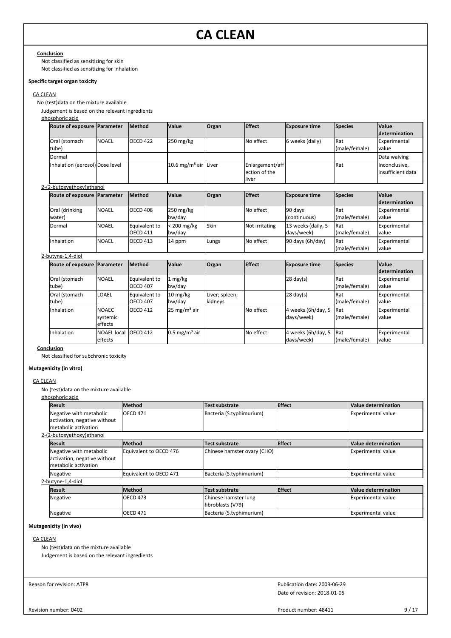#### **Conclusion**

Not classified as sensitizing for skin Not classified as sensitizing for inhalation

## **Specific target organ toxicity**

## CA CLEAN

No (test)data on the mixture available

Judgement is based on the relevant ingredients

#### phosphoric acid

| Route of exposure Parameter     |              | <b>Method</b> | <b>Value</b>                     | <b>Organ</b> | <b>Effect</b>   | <b>Exposure time</b> | Species       | <b>Value</b>         |
|---------------------------------|--------------|---------------|----------------------------------|--------------|-----------------|----------------------|---------------|----------------------|
|                                 |              |               |                                  |              |                 |                      |               | <b>determination</b> |
| <b>Oral (stomach</b>            | <b>NOAEL</b> | IOECD 422     | $250 \text{ mg/kg}$              |              | No effect       | 6 weeks (daily)      | <b>I</b> Rat  | Experimental         |
| tube)                           |              |               |                                  |              |                 |                      | (male/female) | value                |
| <b>IDermal</b>                  |              |               |                                  |              |                 |                      |               | Data waiving         |
| Inhalation (aerosol) Dose level |              |               | 10.6 mg/m <sup>3</sup> air Liver |              | Enlargement/aff |                      | <b>I</b> Rat  | Inconclusive,        |
|                                 |              |               |                                  |              | ection of the   |                      |               | linsufficient data   |
|                                 |              |               |                                  |              | liver           |                      |               |                      |

## 2-(2-butoxyethoxy)ethanol

| Route of exposure  Parameter |              | <b>Method</b>                     | <b>Value</b>                  | <b>Organ</b> | <b>Effect</b>  | <b>Exposure time</b>              | Species                       | <b>Value</b><br><b>determination</b> |
|------------------------------|--------------|-----------------------------------|-------------------------------|--------------|----------------|-----------------------------------|-------------------------------|--------------------------------------|
| Oral (drinking<br>water)     | <b>NOAEL</b> | OECD 408                          | $250 \text{ mg/kg}$<br>bw/day |              | No effect      | 90 days<br>(continuous)           | <b>I</b> Rat<br>(male/female) | Experimental<br>value                |
| Dermal                       | <b>NOAEL</b> | Equivalent to<br><b>IOECD 411</b> | $<$ 200 mg/kg<br>bw/day       | <b>Skin</b>  | Not irritating | 13 weeks (daily, 5<br>ldavs/week) | <b>IRat</b><br>(male/female)  | Experimental<br>value                |
| Inhalation                   | <b>NOAEL</b> | ICECD413                          | 14 ppm                        | Lungs        | No effect      | $90$ days $(6h/day)$              | <b>I</b> Rat<br>(male/female) | Experimental<br>value                |

## 2-butyne-1,4-diol

| Route of exposure Parameter |                                            | <b>Method</b>                     | <b>Value</b>                 | Organ                     | <b>Effect</b> | <b>Exposure time</b>             | Species                       | <b>Value</b><br><b>determination</b> |
|-----------------------------|--------------------------------------------|-----------------------------------|------------------------------|---------------------------|---------------|----------------------------------|-------------------------------|--------------------------------------|
| Oral (stomach<br>tube)      | <b>NOAEL</b>                               | Equivalent to<br><b>IOECD 407</b> | $1 \text{ mg/kg}$<br>bw/day  |                           |               | $ 28 \text{ day}(s) $            | <b>I</b> Rat<br>(male/female) | Experimental<br>value                |
| Oral (stomach<br>tube)      | ILOAEL                                     | Equivalent to<br>IOECD 407        | $10 \text{ mg/kg}$<br>bw/day | Liver; spleen;<br>kidneys |               | $ 28 \text{ day}(s) $            | <b>I</b> Rat<br>(male/female) | Experimental<br>value                |
| Inhalation                  | <b>NOAEC</b><br>systemic<br><b>effects</b> | ICECD 412                         | $25 \text{ mg/m}^3$ air      |                           | No effect     | 4 weeks (6h/day, 5<br>days/week) | <b>I</b> Rat<br>(male/female) | Experimental<br>value                |
| Inhalation                  | <b>NOAEL local</b><br>leffects             | IOECD 412                         | $0.5 \text{ mg/m}^3$ air     |                           | No effect     | 4 weeks (6h/day, 5<br>days/week) | <b>IRat</b><br>(male/female)  | Experimental<br>value                |

### **Conclusion**

Not classified for subchronic toxicity

## **Mutagenicity (in vitro)**

## CA CLEAN

No (test)data on the mixture available

phosphoric acid

| <b>Result</b>                | <b>Method</b>          | Test substrate              | <b>Effect</b> | Value determination        |
|------------------------------|------------------------|-----------------------------|---------------|----------------------------|
| Negative with metabolic      | <b>OECD 471</b>        | Bacteria (S.typhimurium)    |               | Experimental value         |
| activation, negative without |                        |                             |               |                            |
| Imetabolic activation        |                        |                             |               |                            |
| 2-(2-butoxyethoxy)ethanol    |                        |                             |               |                            |
| <b>Result</b>                | <b>Method</b>          | Test substrate              | <b>Effect</b> | Value determination        |
| Negative with metabolic      | Equivalent to OECD 476 | Chinese hamster ovary (CHO) |               | Experimental value         |
| activation, negative without |                        |                             |               |                            |
| metabolic activation         |                        |                             |               |                            |
| Negative                     | Equivalent to OECD 471 | Bacteria (S.typhimurium)    |               | Experimental value         |
| 2-butyne-1,4-diol            |                        |                             |               |                            |
| Result                       | <b>Method</b>          | Test substrate              | <b>Effect</b> | <b>Value determination</b> |
| Negative                     | <b>OECD 473</b>        | Chinese hamster lung        |               | Experimental value         |
|                              |                        | fibroblasts (V79)           |               |                            |
| Negative                     | <b>OECD 471</b>        | Bacteria (S.typhimurium)    |               | Experimental value         |

## **Mutagenicity (in vivo)**

## CA CLEAN

No (test)data on the mixture available

Judgement is based on the relevant ingredients

Reason for revision: ATP8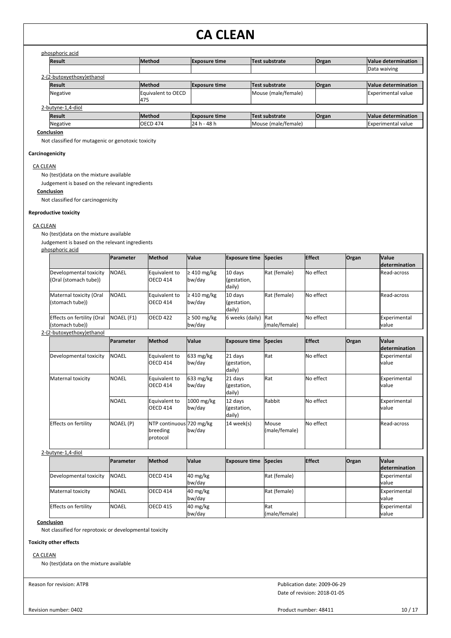## phosphoric acid

| <b>Result</b>             | <b>Method</b>             | <b>Exposure time</b> | Test substrate      | <b>Organ</b> | <b>Value determination</b> |
|---------------------------|---------------------------|----------------------|---------------------|--------------|----------------------------|
|                           |                           |                      |                     |              | Data waiving               |
| 2-(2-butoxyethoxy)ethanol |                           |                      |                     |              |                            |
| <b>Result</b>             | <b>Method</b>             | <b>Exposure time</b> | Test substrate      | <b>Organ</b> | Value determination        |
| Negative                  | Equivalent to OECD<br>475 |                      | Mouse (male/female) |              | <b>Experimental value</b>  |
| 2-butyne-1,4-diol         |                           |                      |                     |              |                            |
| <b>Result</b>             | <b>Method</b>             | <b>Exposure time</b> | Test substrate      | <b>Organ</b> | <b>Value determination</b> |
| Negative                  | <b>IOECD 474</b>          | 24 h - 48 h          | Mouse (male/female) |              | <b>Experimental value</b>  |
| Conclusion                |                           |                      |                     |              |                            |

Not classified for mutagenic or genotoxic toxicity

## **Carcinogenicity**

## CA CLEAN

No (test)data on the mixture available

Judgement is based on the relevant ingredients

## **Conclusion**

Not classified for carcinogenicity

### **Reproductive toxicity**

#### CA CLEAN

No (test)data on the mixture available

Judgement is based on the relevant ingredients

### phosphoric acid

|                                                                                                                                                                                                                                                                                                                                                                                                                                                                                   | <b>IParameter</b> | <b>Method</b>             | <b>Value</b>               | <b>Exposure time Species</b>     |               | <b>Effect</b> | <b>Organ</b> | <b>Value</b>           |
|-----------------------------------------------------------------------------------------------------------------------------------------------------------------------------------------------------------------------------------------------------------------------------------------------------------------------------------------------------------------------------------------------------------------------------------------------------------------------------------|-------------------|---------------------------|----------------------------|----------------------------------|---------------|---------------|--------------|------------------------|
|                                                                                                                                                                                                                                                                                                                                                                                                                                                                                   |                   |                           |                            |                                  |               |               |              | <i>determination</i>   |
| Developmental toxicity<br>(Oral (stomach tube))                                                                                                                                                                                                                                                                                                                                                                                                                                   | <b>INOAEL</b>     | Equivalent to<br>OECD 414 | $\geq$ 410 mg/kg<br>bw/day | 10 days<br>(gestation,<br>daily) | Rat (female)  | No effect     |              | <b>IRead-across</b>    |
| Maternal toxicity (Oral<br>(stomach tube))                                                                                                                                                                                                                                                                                                                                                                                                                                        | <b>INOAEL</b>     | Equivalent to<br>OECD 414 | $\geq 410$ mg/kg<br>bw/day | 10 days<br>(gestation,<br>daily) | Rat (female)  | No effect     |              | <b>IRead-across</b>    |
| Effects on fertility (Oral<br>(stomach tube))<br>$(2 \text{ hutha} + \text{hatha} + \text{hatha} + \text{hatha} + \text{hatha} + \text{hatha} + \text{hatha} + \text{hatha} + \text{hatha} + \text{hatha} + \text{hatha} + \text{hatha} + \text{hatha} + \text{hatha} + \text{hatha} + \text{hatha} + \text{hatha} + \text{hatha} + \text{hatha} + \text{hatha} + \text{hatha} + \text{hatha} + \text{hatha} + \text{hatha} + \text{hatha} + \text{hatha} + \text{hatha} + \text$ | <b>NOAEL (F1)</b> | OECD <sub>422</sub>       | $\geq 500$ mg/kg<br>bw/day | 6 weeks (daily) Rat              | (male/female) | No effect     |              | Experimental<br>lvalue |

## 2-(2-butoxyethoxy)ethanol

|                        | <b>Parameter</b> | <b>Method</b>                                    | <b>Value</b>                  | <b>Exposure time Species</b>     |                        | <b>Effect</b> | Organ | <b>Value</b><br><i>determination</i> |
|------------------------|------------------|--------------------------------------------------|-------------------------------|----------------------------------|------------------------|---------------|-------|--------------------------------------|
| Developmental toxicity | <b>INOAEL</b>    | Equivalent to<br><b>OECD 414</b>                 | $633 \text{ mg/kg}$<br>bw/day | 21 days<br>(gestation,<br>daily) | Rat                    | No effect     |       | Experimental<br>lvalue               |
| Maternal toxicity      | <b>NOAEL</b>     | Equivalent to<br>OECD 414                        | $633 \text{ mg/kg}$<br>bw/day | 21 days<br>(gestation,<br>daily) | Rat                    | No effect     |       | Experimental<br>lvalue               |
|                        | <b>NOAEL</b>     | Equivalent to<br><b>OECD 414</b>                 | 1000 mg/kg<br>bw/day          | 12 days<br>(gestation,<br>daily) | Rabbit                 | No effect     |       | Experimental<br>lvalue               |
| Effects on fertility   | NOAEL (P)        | NTP continuous 720 mg/kg<br>breeding<br>protocol | bw/day                        | 14 week(s)                       | Mouse<br>(male/female) | No effect     |       | <b>Read-across</b>                   |

## 2-butyne-1,4-diol

|                             | <b>IParameter</b> | <b>Method</b>   | <b>Value</b>                               | <b>Exposure time Species</b> |                              | <b>Effect</b> | <b>Organ</b> | <b>Value</b>           |
|-----------------------------|-------------------|-----------------|--------------------------------------------|------------------------------|------------------------------|---------------|--------------|------------------------|
|                             |                   |                 |                                            |                              |                              |               |              | <b>determination</b>   |
| Developmental toxicity      | <b>INOAEL</b>     | <b>OECD 414</b> | $40 \frac{\text{mg}}{\text{kg}}$<br>bw/day |                              | Rat (female)                 |               |              | Experimental<br>Ivalue |
| Maternal toxicity           | <b>INOAEL</b>     | <b>OECD 414</b> | 40 mg/kg<br>bw/day                         |                              | Rat (female)                 |               |              | Experimental<br>Ivalue |
| <b>Effects on fertility</b> | <b>I</b> NOAEL    | <b>OECD 415</b> | $40 \frac{\text{mg}}{\text{kg}}$<br>bw/day |                              | <b>IRat</b><br>(male/female) |               |              | Experimental<br>Ivalue |

## **Conclusion**

Not classified for reprotoxic or developmental toxicity

## **Toxicity other effects**

#### CA CLEAN

No (test)data on the mixture available

Reason for revision: ATP8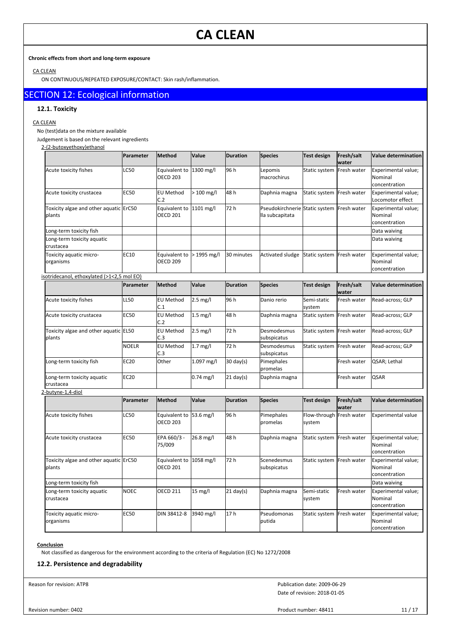## **Chronic effects from short and long-term exposure**

CA CLEAN

ON CONTINUOUS/REPEATED EXPOSURE/CONTACT: Skin rash/inflammation.

## SECTION 12: Ecological information

## **12.1. Toxicity**

## CA CLEAN

No (test)data on the mixture available

Judgement is based on the relevant ingredients

## 2-(2-butoxyethoxy)ethanol

|                                                  | Parameter    | Method                           | Value              | <b>Duration</b>     | <b>Species</b>                                                | <b>Test design</b>        | Fresh/salt<br>water | <b>Value determination</b>                      |
|--------------------------------------------------|--------------|----------------------------------|--------------------|---------------------|---------------------------------------------------------------|---------------------------|---------------------|-------------------------------------------------|
| Acute toxicity fishes                            | <b>LC50</b>  | Equivalent to<br><b>OECD 203</b> | 1300 mg/l          | 96 h                | Lepomis<br>macrochirus                                        | Static system             | Fresh water         | Experimental value;<br>Nominal<br>concentration |
| Acute toxicity crustacea                         | <b>EC50</b>  | <b>EU Method</b><br>C.2          | $>100$ mg/l        | 48 h                | Daphnia magna                                                 | Static system Fresh water |                     | Experimental value;<br>Locomotor effect         |
| Toxicity algae and other aquatic ErC50<br>plants |              | Equivalent to<br><b>OECD 201</b> | 1101 mg/l          | 72 h                | Pseudokirchnerie Static system Fresh water<br>lla subcapitata |                           |                     | Experimental value;<br>Nominal<br>concentration |
| Long-term toxicity fish                          |              |                                  |                    |                     |                                                               |                           |                     | Data waiving                                    |
| Long-term toxicity aquatic<br>crustacea          |              |                                  |                    |                     |                                                               |                           |                     | Data waiving                                    |
| Toxicity aquatic micro-<br>organisms             | EC10         | Equivalent to<br><b>OECD 209</b> | > 1995 mg/l        | 30 minutes          | Activated sludge                                              | Static system             | Fresh water         | Experimental value;<br>Nominal<br>concentration |
| isotridecanol, ethoxylated (>1<2,5 mol EO)       |              |                                  |                    |                     |                                                               |                           |                     |                                                 |
|                                                  | Parameter    | Method                           | Value              | <b>Duration</b>     | <b>Species</b>                                                | <b>Test design</b>        | Fresh/salt<br>water | <b>Value determination</b>                      |
| Acute toxicity fishes                            | <b>LL50</b>  | <b>EU Method</b><br>C.1          | $2.5 \text{ mg/l}$ | 96 h                | Danio rerio                                                   | Semi-static<br>system     | Fresh water         | Read-across; GLP                                |
| Acute toxicity crustacea                         | <b>EC50</b>  | <b>EU Method</b><br>C.2          | $1.5$ mg/l         | 48 h                | Daphnia magna                                                 | Static system             | Fresh water         | Read-across; GLP                                |
| Toxicity algae and other aquatic EL50<br>plants  |              | <b>EU Method</b><br>C.3          | $2.5$ mg/l         | 72 h                | Desmodesmus<br>subspicatus                                    | Static system             | Fresh water         | Read-across; GLP                                |
|                                                  | <b>NOELR</b> | <b>EU Method</b><br>C.3          | $1.7$ mg/l         | 72 h                | Desmodesmus<br>subspicatus                                    | Static system             | Fresh water         | Read-across; GLP                                |
| Long-term toxicity fish                          | <b>EC20</b>  | Other                            | 1.097 mg/l         | $30 \text{ day}(s)$ | Pimephales<br>promelas                                        |                           | Fresh water         | QSAR; Lethal                                    |
| Long-term toxicity aquatic<br>crustacea          | EC20         |                                  | $0.74$ mg/l        | $21$ day(s)         | Daphnia magna                                                 |                           | Fresh water         | <b>QSAR</b>                                     |
| 2-butyne-1,4-diol                                |              |                                  |                    |                     |                                                               |                           |                     |                                                 |
|                                                  | Parameter    | <b>Method</b>                    | Value              | <b>Duration</b>     | <b>Species</b>                                                | <b>Test design</b>        | Fresh/salt<br>water | Value determination                             |
| Acute toxicity fishes                            | LC50         | Equivalent to<br><b>OECD 203</b> | 53.6 mg/l          | 96 h                | Pimephales<br>promelas                                        | Flow-through<br>system    | Fresh water         | <b>Experimental value</b>                       |
| Acute toxicity crustacea                         | <b>EC50</b>  | EPA 660/3 -<br>75/009            | 26.8 mg/l          | 48 h                | Daphnia magna                                                 | Static system             | Fresh water         | Experimental value;<br>Nominal<br>concentration |
| Toxicity algae and other aquatic ErC50<br>plants |              | Equivalent to<br><b>OECD 201</b> | 1058 mg/l          | 72 h                | Scenedesmus<br>subspicatus                                    | Static system Fresh water |                     | Experimental value;<br>Nominal<br>concentration |
| Long-term toxicity fish                          |              |                                  |                    |                     |                                                               |                           |                     | Data waiving                                    |
| Long-term toxicity aquatic<br>crustacea          | <b>NOEC</b>  | <b>OECD 211</b>                  | 15 mg/l            | $21 \text{ day}(s)$ | Daphnia magna                                                 | Semi-static<br>system     | Fresh water         | Experimental value;<br>Nominal<br>concentration |
| Toxicity aquatic micro-<br>organisms             | <b>EC50</b>  | DIN 38412-8                      | 3940 mg/l          | 17h                 | Pseudomonas<br>putida                                         | Static system             | Fresh water         | Experimental value;<br>Nominal<br>concentration |

#### **Conclusion**

Not classified as dangerous for the environment according to the criteria of Regulation (EC) No 1272/2008

## **12.2. Persistence and degradability**

Reason for revision: ATP8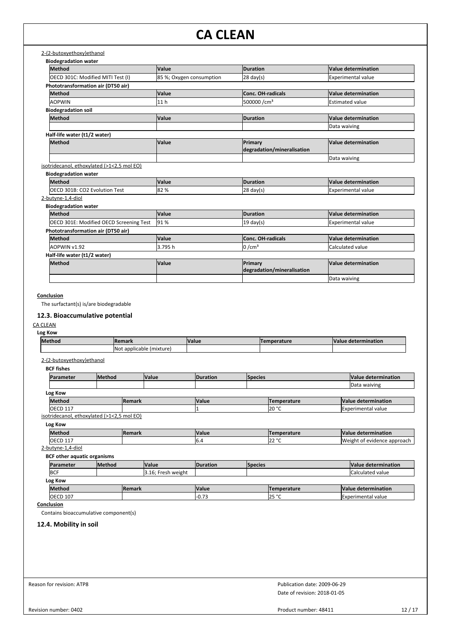| 2-(2-butoxyethoxy)ethanol                  |                          |                                       |                            |
|--------------------------------------------|--------------------------|---------------------------------------|----------------------------|
| <b>Biodegradation water</b>                |                          |                                       |                            |
| Method                                     | Value                    | Duration                              | <b>Value determination</b> |
| OECD 301C: Modified MITI Test (I)          | 85 %; Oxygen consumption | $28 \text{ day(s)}$                   | <b>Experimental value</b>  |
| Phototransformation air (DT50 air)         |                          |                                       |                            |
| Method                                     | Value                    | Conc. OH-radicals                     | Value determination        |
| <b>AOPWIN</b>                              | 11 <sub>h</sub>          | 500000/cm <sup>3</sup>                | <b>Estimated value</b>     |
| <b>Biodegradation soil</b>                 |                          |                                       |                            |
| Method                                     | Value                    | Duration                              | Value determination        |
|                                            |                          |                                       | Data waiving               |
| Half-life water (t1/2 water)               |                          |                                       |                            |
| Method                                     | Value                    | Primary<br>degradation/mineralisation | <b>Value determination</b> |
|                                            |                          |                                       |                            |
| isotridecanol, ethoxylated (>1<2,5 mol EO) |                          |                                       | Data waiving               |
| <b>Biodegradation water</b>                |                          |                                       |                            |
| Method                                     | Value                    | Duration                              | Value determination        |
| OECD 301B: CO2 Evolution Test              | 82%                      | $28 \text{ day(s)}$                   | <b>Experimental value</b>  |
| 2-butyne-1,4-diol                          |                          |                                       |                            |
| <b>Biodegradation water</b>                |                          |                                       |                            |
| Method                                     | Value                    | Duration                              | Value determination        |
| OECD 301E: Modified OECD Screening Test    | 91%                      | $19 \text{ day(s)}$                   | <b>Experimental value</b>  |
| Phototransformation air (DT50 air)         |                          |                                       |                            |
| Method                                     | Value                    | Conc. OH-radicals                     | Value determination        |
| AOPWIN v1.92                               | 3.795h                   | $10 / \text{cm}^3$                    | Calculated value           |
| Half-life water (t1/2 water)               |                          |                                       |                            |
| <b>Method</b>                              | Value                    | Primary                               | <b>Value determination</b> |
|                                            |                          | degradation/mineralisation            |                            |
|                                            |                          |                                       | Data waiving               |

## **Conclusion**

The surfactant(s) is/are biodegradable

## **12.3. Bioaccumulative potential**

### CA CLEAN

**Log Kow**

| lMethod | <b>Remark</b>                            | Value | nperature | <b>IValu</b><br>: determination |
|---------|------------------------------------------|-------|-----------|---------------------------------|
|         | <b>INo</b><br>. applicable.<br>I'mixture |       |           |                                 |

## 2-(2-butoxyethoxy)ethanol

| <b>BCF fishes</b>          |  |               |       |                 |                |                    |                     |  |  |  |
|----------------------------|--|---------------|-------|-----------------|----------------|--------------------|---------------------|--|--|--|
| <b>Method</b><br>Parameter |  |               | Value | <b>Duration</b> | <b>Species</b> |                    | Value determination |  |  |  |
|                            |  |               |       |                 |                |                    | Data waiving        |  |  |  |
| Log Kow                    |  |               |       |                 |                |                    |                     |  |  |  |
| Method                     |  | <b>Remark</b> |       | <b>Value</b>    |                | <b>Temperature</b> | Value determination |  |  |  |
| <b>OECD 117</b>            |  |               |       |                 |                | 20 °C              | Experimental value  |  |  |  |

isotridecanol, ethoxylated (>1<2,5 mol EO)

| Log Kow          |               |              |                    |                             |  |  |  |  |
|------------------|---------------|--------------|--------------------|-----------------------------|--|--|--|--|
| <b>Method</b>    | <b>Remark</b> | <b>Value</b> | <b>Temperature</b> | Value determination         |  |  |  |  |
| <b>OECD</b><br>. |               | ٠.٠          | 0.22<br>144        | Weight of evidence approach |  |  |  |  |

2-butyne-1,4-diol

| <b>BCF</b> other aquatic organisms |               |               |                    |                  |                |                    |                         |
|------------------------------------|---------------|---------------|--------------------|------------------|----------------|--------------------|-------------------------|
| Parameter                          | <b>Method</b> |               | <b>Value</b>       | <b>IDuration</b> | <b>Species</b> |                    | Value determination     |
| <b>BCF</b>                         |               |               | 3.16; Fresh weight |                  |                |                    | <b>Calculated value</b> |
| Log Kow                            |               |               |                    |                  |                |                    |                         |
| <b>Method</b>                      |               | <b>Remark</b> |                    | <b>Value</b>     |                | <b>Temperature</b> | Value determination     |
| <b>OECD 107</b>                    |               |               |                    | $-0.73$          |                | l25 °C             | Experimental value      |

**Conclusion**

Contains bioaccumulative component(s)

**12.4. Mobility in soil**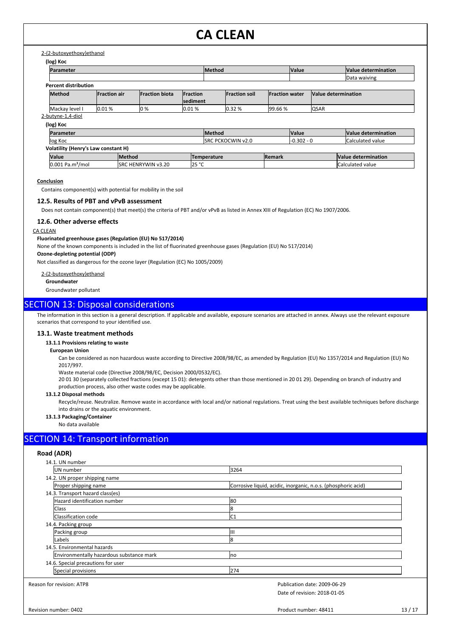## 2-(2-butoxyethoxy)ethanol

| Parameter                                  |                     |                            |                                    | <b>Method</b>             |                       | <b>Value</b> |                     | Value determination |
|--------------------------------------------|---------------------|----------------------------|------------------------------------|---------------------------|-----------------------|--------------|---------------------|---------------------|
|                                            |                     |                            |                                    |                           |                       |              |                     | Data waiving        |
| <b>Percent distribution</b>                |                     |                            |                                    |                           |                       |              |                     |                     |
| <b>Method</b>                              | <b>Fraction air</b> | <b>Fraction biota</b>      | <b>Fraction</b><br><b>sediment</b> | <b>Fraction soil</b>      | <b>Fraction water</b> |              | Value determination |                     |
| Mackay level I                             | 0.01%               | lo %                       | 10.01%                             | 0.32%                     | 99.66 %               |              | <b>QSAR</b>         |                     |
| 2-butyne-1,4-diol                          |                     |                            |                                    |                           |                       |              |                     |                     |
| (log) Koc                                  |                     |                            |                                    |                           |                       |              |                     |                     |
| Parameter                                  |                     |                            |                                    | <b>Method</b>             |                       | <b>Value</b> |                     | Value determination |
| log Koc                                    |                     |                            |                                    | <b>ISRC PCKOCWIN v2.0</b> |                       | $-0.302 - 0$ |                     | Calculated value    |
| <b>Volatility (Henry's Law constant H)</b> |                     |                            |                                    |                           |                       |              |                     |                     |
| <b>Value</b>                               |                     | <b>Method</b>              |                                    | Temperature               | <b>Remark</b>         |              |                     | Value determination |
| $0.001$ Pa.m <sup>3</sup> /mol             |                     | <b>ISRC HENRYWIN v3.20</b> | 25 °C                              |                           |                       |              |                     | Calculated value    |

#### **Conclusion**

Contains component(s) with potential for mobility in the soil

#### **12.5. Results of PBT and vPvB assessment**

Does not contain component(s) that meet(s) the criteria of PBT and/or vPvB as listed in Annex XIII of Regulation (EC) No 1907/2006.

## **12.6. Other adverse effects**

### CA CLEAN

## **Fluorinated greenhouse gases (Regulation (EU) No 517/2014)**

None of the known components is included in the list of fluorinated greenhouse gases (Regulation (EU) No 517/2014)

#### **Ozone-depleting potential (ODP)**

Not classified as dangerous for the ozone layer (Regulation (EC) No 1005/2009)

2-(2-butoxyethoxy)ethanol

**Groundwater**

Groundwater pollutant

## SECTION 13: Disposal considerations

The information in this section is a general description. If applicable and available, exposure scenarios are attached in annex. Always use the relevant exposure scenarios that correspond to your identified use.

#### **13.1. Waste treatment methods**

**13.1.1 Provisions relating to waste**

#### **European Union**

Can be considered as non hazardous waste according to Directive 2008/98/EC, as amended by Regulation (EU) No 1357/2014 and Regulation (EU) No 2017/997.

Waste material code (Directive 2008/98/EC, Decision 2000/0532/EC).

20 01 30 (separately collected fractions (except 15 01): detergents other than those mentioned in 20 01 29). Depending on branch of industry and production process, also other waste codes may be applicable.

#### **13.1.2 Disposal methods**

Recycle/reuse. Neutralize. Remove waste in accordance with local and/or national regulations. Treat using the best available techniques before discharge into drains or the aquatic environment.

## **13.1.3 Packaging/Container**

No data available

## SECTION 14: Transport information

## **Road (ADR)**

| 14.1. UN number                          |                                                               |
|------------------------------------------|---------------------------------------------------------------|
| UN number                                | 3264                                                          |
| 14.2. UN proper shipping name            |                                                               |
| Proper shipping name                     | Corrosive liquid, acidic, inorganic, n.o.s. (phosphoric acid) |
| 14.3. Transport hazard class(es)         |                                                               |
| Hazard identification number             | 80                                                            |
| Class                                    |                                                               |
| Classification code                      | C1                                                            |
| 14.4. Packing group                      |                                                               |
| Packing group                            |                                                               |
| Labels                                   | 8                                                             |
| 14.5. Environmental hazards              |                                                               |
| Environmentally hazardous substance mark | no                                                            |
| 14.6. Special precautions for user       |                                                               |
| Special provisions                       | 274                                                           |
| Reason for revision: ATP8                | Publication date: 2009-06-29                                  |
|                                          | Date of revision: 2018-01-05                                  |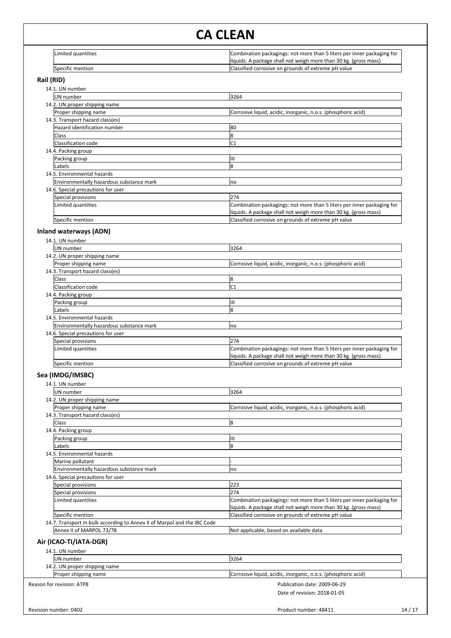| Limited quantities | Combination packagings: not more than 5 liters per inner packaging for |
|--------------------|------------------------------------------------------------------------|
|                    | liquids. A package shall not weigh more than 30 kg. (gross mass)       |
| Specific mention   | Classified corrosive on grounds of extreme pH value                    |

## **Rail (RID)**

| 14.1. UN number                          |                                                                                                                                            |
|------------------------------------------|--------------------------------------------------------------------------------------------------------------------------------------------|
| <b>IUN</b> number                        | 3264                                                                                                                                       |
| 14.2. UN proper shipping name            |                                                                                                                                            |
| Proper shipping name                     | Corrosive liquid, acidic, inorganic, n.o.s. (phosphoric acid)                                                                              |
| 14.3. Transport hazard class(es)         |                                                                                                                                            |
| Hazard identification number             | 80                                                                                                                                         |
| <b>Class</b>                             | ጸ                                                                                                                                          |
| Classification code                      | C <sub>1</sub>                                                                                                                             |
| 14.4. Packing group                      |                                                                                                                                            |
| Packing group                            | Ш                                                                                                                                          |
| lLabels                                  | 8                                                                                                                                          |
| 14.5. Environmental hazards              |                                                                                                                                            |
| Environmentally hazardous substance mark | no                                                                                                                                         |
| 14.6. Special precautions for user       |                                                                                                                                            |
| Special provisions                       | 274                                                                                                                                        |
| Limited quantities                       | Combination packagings: not more than 5 liters per inner packaging for<br>liquids. A package shall not weigh more than 30 kg. (gross mass) |
| Specific mention                         | Classified corrosive on grounds of extreme pH value                                                                                        |

## **Inland waterways (ADN)**

| 14.1. UN number                          |                                                                        |
|------------------------------------------|------------------------------------------------------------------------|
| UN number                                | 3264                                                                   |
| 14.2. UN proper shipping name            |                                                                        |
| Proper shipping name                     | Corrosive liquid, acidic, inorganic, n.o.s. (phosphoric acid)          |
| 14.3. Transport hazard class(es)         |                                                                        |
| Class                                    |                                                                        |
| Classification code                      | C <sub>1</sub>                                                         |
| 14.4. Packing group                      |                                                                        |
| Packing group                            | Ш                                                                      |
| Labels                                   | 8                                                                      |
| 14.5. Environmental hazards              |                                                                        |
| Environmentally hazardous substance mark | <b>no</b>                                                              |
| 14.6. Special precautions for user       |                                                                        |
| Special provisions                       | 274                                                                    |
| Limited quantities                       | Combination packagings: not more than 5 liters per inner packaging for |
|                                          | liquids. A package shall not weigh more than 30 kg. (gross mass)       |
| Specific mention                         | Classified corrosive on grounds of extreme pH value                    |

## **Sea (IMDG/IMSBC)**

| 14.1. UN number                                                          |                                                                        |  |  |
|--------------------------------------------------------------------------|------------------------------------------------------------------------|--|--|
| UN number                                                                | 3264                                                                   |  |  |
| 14.2. UN proper shipping name                                            |                                                                        |  |  |
| Proper shipping name                                                     | Corrosive liquid, acidic, inorganic, n.o.s. (phosphoric acid)          |  |  |
| 14.3. Transport hazard class(es)                                         |                                                                        |  |  |
| <b>Class</b>                                                             | 8                                                                      |  |  |
| 14.4. Packing group                                                      |                                                                        |  |  |
| Packing group                                                            | Ш                                                                      |  |  |
| Labels                                                                   | 8                                                                      |  |  |
| 14.5. Environmental hazards                                              |                                                                        |  |  |
| Marine pollutant                                                         |                                                                        |  |  |
| Environmentally hazardous substance mark                                 | no                                                                     |  |  |
| 14.6. Special precautions for user                                       |                                                                        |  |  |
| Special provisions                                                       | 223                                                                    |  |  |
| Special provisions                                                       | 274                                                                    |  |  |
| Limited quantities                                                       | Combination packagings: not more than 5 liters per inner packaging for |  |  |
|                                                                          | liquids. A package shall not weigh more than 30 kg. (gross mass)       |  |  |
| Specific mention                                                         | Classified corrosive on grounds of extreme pH value                    |  |  |
| 14.7. Transport in bulk according to Annex II of Marpol and the IBC Code |                                                                        |  |  |
| Annex II of MARPOL 73/78                                                 | Not applicable, based on available data                                |  |  |

## **Air (ICAO-TI/IATA-DGR)**

| 14.1. UN number               |                                                               |
|-------------------------------|---------------------------------------------------------------|
| UN number                     | 3264                                                          |
| 14.2. UN proper shipping name |                                                               |
| Proper shipping name          | Corrosive liquid, acidic, inorganic, n.o.s. (phosphoric acid) |
| Reason for revision: ATP8     | Publication date: 2009-06-29                                  |
|                               | Date of revision: 2018-01-05                                  |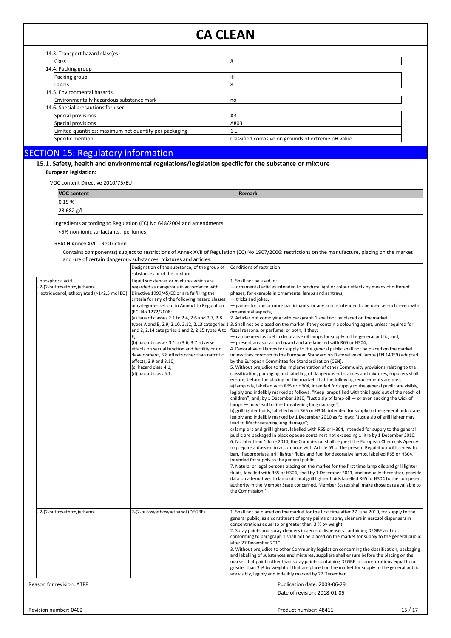| 14.3. Transport hazard class(es)                       |                                                     |
|--------------------------------------------------------|-----------------------------------------------------|
| <b>Class</b>                                           | 18                                                  |
| 14.4. Packing group                                    |                                                     |
| Packing group                                          | Ш                                                   |
| Labels                                                 |                                                     |
| 14.5. Environmental hazards                            |                                                     |
| Environmentally hazardous substance mark               | Ino                                                 |
| 14.6. Special precautions for user                     |                                                     |
| Special provisions                                     | A <sub>3</sub>                                      |
| Special provisions                                     | A803                                                |
| Limited quantities: maximum net quantity per packaging |                                                     |
| Specific mention                                       | Classified corrosive on grounds of extreme pH value |

## SECTION 15: Regulatory information<br>15.1. Safety, health and environmental regulations/legislation specific for the substance or mixture **European legislation:**

VOC content Directive 2010/75/EU

| <b>VOC content</b> | <b>IRemark</b> |
|--------------------|----------------|
| 0.19%              |                |
| 23.682 g/l         |                |

Ingredients according to Regulation (EC) No 648/2004 and amendments <5% non-ionic surfactants, perfumes

REACH Annex XVII - Restriction

Contains component(s) subject to restrictions of Annex XVII of Regulation (EC) No 1907/2006: restrictions on the manufacture, placing on the market and use of certain dangerous substances, mixtures and articles.

|                                                                                            | Designation of the substance, of the group of<br>substances or of the mixture                                                                                                                                                                                                                                                                                                                                                                                                                                                                                                                                                                        | Conditions of restriction                                                                                                                                                                                                                                                                                                                                                                                                                                                                                                                                                                                                                                                                                                                                                                                                                                                                                                                                                                                                                                                                                                                                                                                                                                                                                                                                                                                                                                                                                                                                                                                                                                                                                                                                                                                                                                                                                                                                                                                                                                                                                                                                                                                                                                                                                                                                                                                                                                                                                                                                                                                                                                                                                                                                                                                                                  |
|--------------------------------------------------------------------------------------------|------------------------------------------------------------------------------------------------------------------------------------------------------------------------------------------------------------------------------------------------------------------------------------------------------------------------------------------------------------------------------------------------------------------------------------------------------------------------------------------------------------------------------------------------------------------------------------------------------------------------------------------------------|--------------------------------------------------------------------------------------------------------------------------------------------------------------------------------------------------------------------------------------------------------------------------------------------------------------------------------------------------------------------------------------------------------------------------------------------------------------------------------------------------------------------------------------------------------------------------------------------------------------------------------------------------------------------------------------------------------------------------------------------------------------------------------------------------------------------------------------------------------------------------------------------------------------------------------------------------------------------------------------------------------------------------------------------------------------------------------------------------------------------------------------------------------------------------------------------------------------------------------------------------------------------------------------------------------------------------------------------------------------------------------------------------------------------------------------------------------------------------------------------------------------------------------------------------------------------------------------------------------------------------------------------------------------------------------------------------------------------------------------------------------------------------------------------------------------------------------------------------------------------------------------------------------------------------------------------------------------------------------------------------------------------------------------------------------------------------------------------------------------------------------------------------------------------------------------------------------------------------------------------------------------------------------------------------------------------------------------------------------------------------------------------------------------------------------------------------------------------------------------------------------------------------------------------------------------------------------------------------------------------------------------------------------------------------------------------------------------------------------------------------------------------------------------------------------------------------------------------|
| phosphoric acid<br>2-(2-butoxyethoxy)ethanol<br>isotridecanol, ethoxylated (>1<2,5 mol EO) | Liquid substances or mixtures which are<br>regarded as dangerous in accordance with<br>Directive 1999/45/EC or are fulfilling the<br>criteria for any of the following hazard classes<br>or categories set out in Annex I to Regulation<br>(EC) No 1272/2008:<br>(a) hazard classes 2.1 to 2.4, 2.6 and 2.7, 2.8<br>types A and B, 2.9, 2.10, 2.12, 2.13 categories 1<br>and 2, 2.14 categories 1 and 2, 2.15 types A to<br>(b) hazard classes 3.1 to 3.6, 3.7 adverse<br>effects on sexual function and fertility or on<br>development, 3.8 effects other than narcotic<br>effects, 3.9 and 3.10;<br>(c) hazard class 4.1;<br>(d) hazard class 5.1. | 1. Shall not be used in:<br>- ornamental articles intended to produce light or colour effects by means of different<br>phases, for example in ornamental lamps and ashtrays,<br>- tricks and jokes,<br>- games for one or more participants, or any article intended to be used as such, even with<br>ornamental aspects,<br>2. Articles not complying with paragraph 1 shall not be placed on the market.<br>3. Shall not be placed on the market if they contain a colouring agent, unless required for<br>fiscal reasons, or perfume, or both, if they:<br>- can be used as fuel in decorative oil lamps for supply to the general public, and,<br>- present an aspiration hazard and are labelled with R65 or H304,<br>4. Decorative oil lamps for supply to the general public shall not be placed on the market<br>unless they conform to the European Standard on Decorative oil lamps (EN 14059) adopted<br>by the European Committee for Standardisation (CEN).<br>5. Without prejudice to the implementation of other Community provisions relating to the<br>classification, packaging and labelling of dangerous substances and mixtures, suppliers shall<br>ensure, before the placing on the market, that the following requirements are met:<br>a) lamp oils, labelled with R65 or H304, intended for supply to the general public are visibly,<br>legibly and indelibly marked as follows: "Keep lamps filled with this liquid out of the reach of<br>children"; and, by 1 December 2010, "Just a sip of lamp oil $-$ or even sucking the wick of<br>lamps – may lead to life-threatening lung damage";<br>b) grill lighter fluids, labelled with R65 or H304, intended for supply to the general public are<br>legibly and indelibly marked by 1 December 2010 as follows: "Just a sip of grill lighter may<br>lead to life threatening lung damage";<br>c) lamp oils and grill lighters, labelled with R65 or H304, intended for supply to the general<br>public are packaged in black opaque containers not exceeding 1 litre by 1 December 2010.<br>6. No later than 1 June 2014, the Commission shall request the European Chemicals Agency<br>to prepare a dossier, in accordance with Article 69 of the present Regulation with a view to<br>ban, if appropriate, grill lighter fluids and fuel for decorative lamps, labelled R65 or H304,<br>intended for supply to the general public.<br>7. Natural or legal persons placing on the market for the first time lamp oils and grill lighter<br>fluids, labelled with R65 or H304, shall by 1 December 2011, and annually thereafter, provide<br>data on alternatives to lamp oils and grill lighter fluids labelled R65 or H304 to the competent<br>authority in the Member State concerned. Member States shall make those data available to<br>the Commission.' |
| 2-(2-butoxyethoxy)ethanol                                                                  | 2-(2-butoxyethoxy)ethanol (DEGBE)                                                                                                                                                                                                                                                                                                                                                                                                                                                                                                                                                                                                                    | 1. Shall not be placed on the market for the first time after 27 June 2010, for supply to the<br>general public, as a constituent of spray paints or spray cleaners in aerosol dispensers in<br>concentrations equal to or greater than 3 % by weight.<br>2. Spray paints and spray cleaners in aerosol dispensers containing DEGBE and not<br>conforming to paragraph 1 shall not be placed on the market for supply to the general public<br>after 27 December 2010.<br>3. Without prejudice to other Community legislation concerning the classification, packaging<br>and labelling of substances and mixtures, suppliers shall ensure before the placing on the<br>market that paints other than spray paints containing DEGBE in concentrations equal to or<br>greater than 3 % by weight of that are placed on the market for supply to the general public<br>are visibly, legibly and indelibly marked by 27 December                                                                                                                                                                                                                                                                                                                                                                                                                                                                                                                                                                                                                                                                                                                                                                                                                                                                                                                                                                                                                                                                                                                                                                                                                                                                                                                                                                                                                                                                                                                                                                                                                                                                                                                                                                                                                                                                                                              |
| Reason for revision: ATP8                                                                  |                                                                                                                                                                                                                                                                                                                                                                                                                                                                                                                                                                                                                                                      | Publication date: 2009-06-29                                                                                                                                                                                                                                                                                                                                                                                                                                                                                                                                                                                                                                                                                                                                                                                                                                                                                                                                                                                                                                                                                                                                                                                                                                                                                                                                                                                                                                                                                                                                                                                                                                                                                                                                                                                                                                                                                                                                                                                                                                                                                                                                                                                                                                                                                                                                                                                                                                                                                                                                                                                                                                                                                                                                                                                                               |
|                                                                                            |                                                                                                                                                                                                                                                                                                                                                                                                                                                                                                                                                                                                                                                      | Date of revision: 2018-01-05                                                                                                                                                                                                                                                                                                                                                                                                                                                                                                                                                                                                                                                                                                                                                                                                                                                                                                                                                                                                                                                                                                                                                                                                                                                                                                                                                                                                                                                                                                                                                                                                                                                                                                                                                                                                                                                                                                                                                                                                                                                                                                                                                                                                                                                                                                                                                                                                                                                                                                                                                                                                                                                                                                                                                                                                               |

Revision number: 0402

Product number: 48411 15 / 17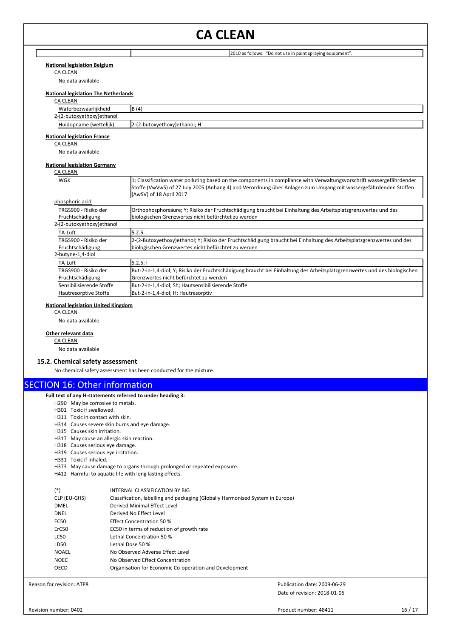### **National legislation Belgium**

CA CLEAN

No data available

#### **National legislation The Netherlands**

## CA CLEAN

| .<br>Waterbezwaarlijkheid | $\sqrt{ }$<br>ΙB<br>14                       |
|---------------------------|----------------------------------------------|
| 212<br>tov.ethoxy)ethanol |                                              |
| (wettelijk)<br>'Huidonn   | $\mathbf{a}$<br>toxvethoxv)ethanol: H<br>but |

2010 as follows: "Do not use in paint spraying equipment".

## **National legislation France**

CA CLEAN

No data available

## **National legislation Germany**

## CA CLEAN

| <b>WGK</b>                                | 1; Classification water polluting based on the components in compliance with Verwaltungsvorschrift wassergefährdender<br>Stoffe (VwVwS) of 27 July 2005 (Anhang 4) and Verordnung über Anlagen zum Umgang mit wassergefährdenden Stoffen<br>(AwSV) of 18 April 2017 |
|-------------------------------------------|---------------------------------------------------------------------------------------------------------------------------------------------------------------------------------------------------------------------------------------------------------------------|
| phosphoric acid                           |                                                                                                                                                                                                                                                                     |
| lTRGS900 - Risiko der<br>Fruchtschädigung | Orthophosphorsäure; Y; Risiko der Fruchtschädigung braucht bei Einhaltung des Arbeitsplatzgrenzwertes und des<br>biologischen Grenzwertes nicht befürchtet zu werden                                                                                                |
| 2-(2-butoxyethoxy)ethanol                 |                                                                                                                                                                                                                                                                     |
| <b>TA-Luft</b>                            | 5.2.5                                                                                                                                                                                                                                                               |
| lTRGS900 - Risiko der<br>Fruchtschädigung | 2-(2-Butoxyethoxy)ethanol; Y; Risiko der Fruchtschädigung braucht bei Einhaltung des Arbeitsplatzgrenzwertes und des<br>biologischen Grenzwertes nicht befürchtet zu werden                                                                                         |
| 2-butyne-1,4-diol                         |                                                                                                                                                                                                                                                                     |
| <b>TA-Luft</b>                            | 5.2.5;                                                                                                                                                                                                                                                              |
| lTRGS900 - Risiko der<br>Fruchtschädigung | But-2-in-1,4-diol; Y; Risiko der Fruchtschädigung braucht bei Einhaltung des Arbeitsplatzgrenzwertes und des biologischen<br>lGrenzwertes nicht befürchtet zu werden                                                                                                |
| Sensibilisierende Stoffe                  | But-2-in-1,4-diol; Sh; Hautsensibilisierende Stoffe                                                                                                                                                                                                                 |
| Hautresorptive Stoffe                     | But-2-in-1,4-diol; H; Hautresorptiv                                                                                                                                                                                                                                 |
|                                           |                                                                                                                                                                                                                                                                     |

#### **National legislation United Kingdom**

CA CLEAN

No data available

#### **Other relevant data**

CA CLEAN

No data available

### **15.2. Chemical safety assessment**

No chemical safety assessment has been conducted for the mixture.

## **SECTION 16: Other information**

- **Full text of any H-statements referred to under heading 3:**
	- H290 May be corrosive to metals.
	- H301 Toxic if swallowed.
	- H311 Toxic in contact with skin.
	- H314 Causes severe skin burns and eye damage.
	- H315 Causes skin irritation.
	- H317 May cause an allergic skin reaction.
	- H318 Causes serious eye damage.
	- H319 Causes serious eye irritation.
	- H331 Toxic if inhaled.
	- H373 May cause damage to organs through prolonged or repeated exposure.
	- H412 Harmful to aquatic life with long lasting effects.

| $(*)$        | INTERNAL CLASSIFICATION BY BIG                                                 |
|--------------|--------------------------------------------------------------------------------|
| CLP (EU-GHS) | Classification, labelling and packaging (Globally Harmonised System in Europe) |
| DMEL         | Derived Minimal Effect Level                                                   |
| DNEL         | Derived No Effect Level                                                        |
| EC50         | Effect Concentration 50 %                                                      |
| ErC50        | EC50 in terms of reduction of growth rate                                      |
| LC50         | Lethal Concentration 50 %                                                      |
| LD50         | Lethal Dose 50 %                                                               |
| <b>NOAEL</b> | No Observed Adverse Effect Level                                               |
| <b>NOEC</b>  | No Observed Effect Concentration                                               |
| OECD         | Organisation for Economic Co-operation and Development                         |

Reason for revision: ATP8

Date of revision: 2018-01-05 Publication date: 2009-06-29

Product number: 48411 16 / 17